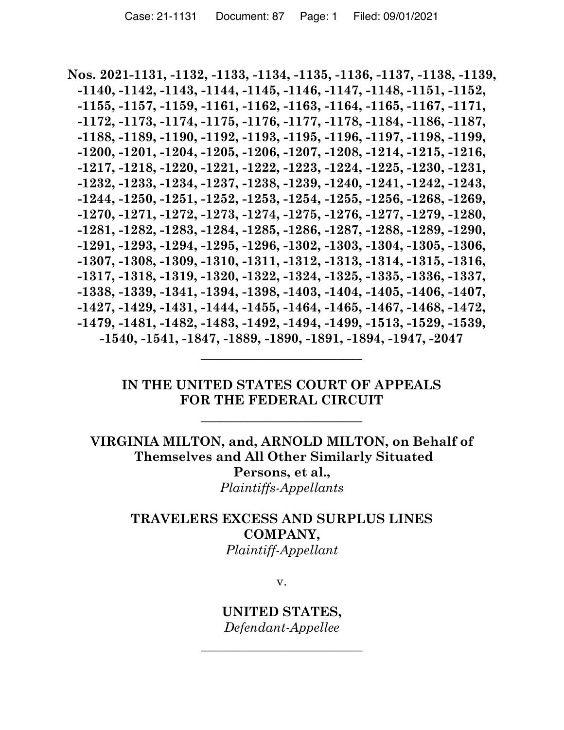**Nos. 2021-1131, -1132, -1133, -1134, -1135, -1136, -1137, -1138, -1139, -1140, -1142, -1143, -1144, -1145, -1146, -1147, -1148, -1151, -1152, -1155, -1157, -1159, -1161, -1162, -1163, -1164, -1165, -1167, -1171, -1172, -1173, -1174, -1175, -1176, -1177, -1178, -1184, -1186, -1187, -1188, -1189, -1190, -1192, -1193, -1195, -1196, -1197, -1198, -1199, -1200, -1201, -1204, -1205, -1206, -1207, -1208, -1214, -1215, -1216, -1217, -1218, -1220, -1221, -1222, -1223, -1224, -1225, -1230, -1231, -1232, -1233, -1234, -1237, -1238, -1239, -1240, -1241, -1242, -1243, -1244, -1250, -1251, -1252, -1253, -1254, -1255, -1256, -1268, -1269, -1270, -1271, -1272, -1273, -1274, -1275, -1276, -1277, -1279, -1280, -1281, -1282, -1283, -1284, -1285, -1286, -1287, -1288, -1289, -1290, -1291, -1293, -1294, -1295, -1296, -1302, -1303, -1304, -1305, -1306, -1307, -1308, -1309, -1310, -1311, -1312, -1313, -1314, -1315, -1316, -1317, -1318, -1319, -1320, -1322, -1324, -1325, -1335, -1336, -1337, -1338, -1339, -1341, -1394, -1398, -1403, -1404, -1405, -1406, -1407, -1427, -1429, -1431, -1444, -1455, -1464, -1465, -1467, -1468, -1472, -1479, -1481, -1482, -1483, -1492, -1494, -1499, -1513, -1529, -1539, -1540, -1541, -1847, -1889, -1890, -1891, -1894, -1947, -2047**

## **IN THE UNITED STATES COURT OF APPEALS FOR THE FEDERAL CIRCUIT**

\_\_\_\_\_\_\_\_\_\_\_\_\_\_\_\_\_\_\_\_\_\_\_\_\_

\_\_\_\_\_\_\_\_\_\_\_\_\_\_\_\_\_\_\_\_\_\_\_\_\_

**VIRGINIA MILTON, and, ARNOLD MILTON, on Behalf of Themselves and All Other Similarly Situated Persons, et al.,** *Plaintiffs-Appellants*

## **TRAVELERS EXCESS AND SURPLUS LINES COMPANY,** *Plaintiff-Appellant*

v.

**UNITED STATES,** *Defendant-Appellee*

\_\_\_\_\_\_\_\_\_\_\_\_\_\_\_\_\_\_\_\_\_\_\_\_\_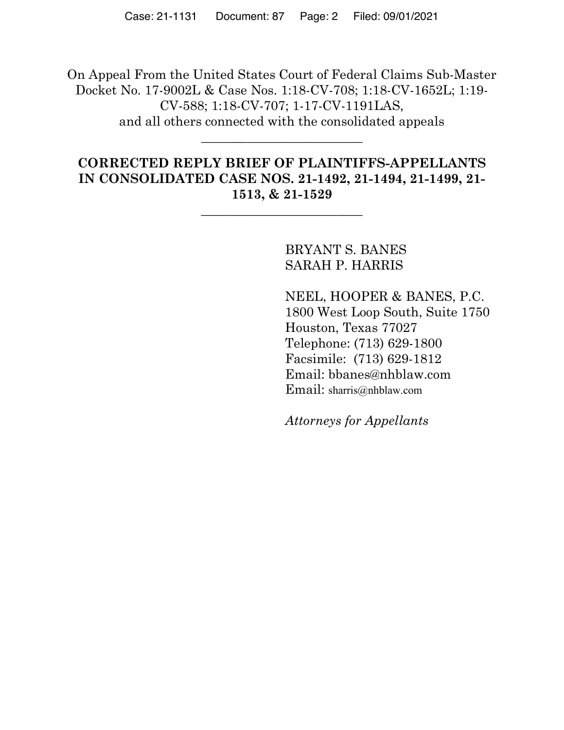On Appeal From the United States Court of Federal Claims Sub-Master Docket No. 17-9002L & Case Nos. 1:18-CV-708; 1:18-CV-1652L; 1:19- CV-588; 1:18-CV-707; 1-17-CV-1191LAS, and all others connected with the consolidated appeals \_\_\_\_\_\_\_\_\_\_\_\_\_\_\_\_\_\_\_\_\_\_\_\_\_

## **CORRECTED REPLY BRIEF OF PLAINTIFFS-APPELLANTS IN CONSOLIDATED CASE NOS. 21-1492, 21-1494, 21-1499, 21- 1513, & 21-1529**

\_\_\_\_\_\_\_\_\_\_\_\_\_\_\_\_\_\_\_\_\_\_\_\_\_

BRYANT S. BANES SARAH P. HARRIS

NEEL, HOOPER & BANES, P.C. 1800 West Loop South, Suite 1750 Houston, Texas 77027 Telephone: (713) 629-1800 Facsimile: (713) 629-1812 Email: bbanes@nhblaw.com Email: sharris@nhblaw.com

*Attorneys for Appellants*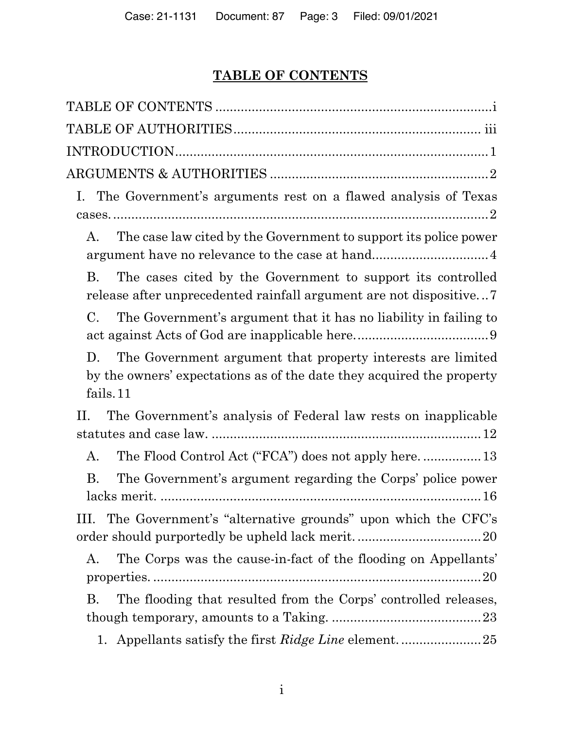# **TABLE OF CONTENTS**

| I. The Government's arguments rest on a flawed analysis of Texas                                                                                       |
|--------------------------------------------------------------------------------------------------------------------------------------------------------|
| The case law cited by the Government to support its police power<br>A.<br>argument have no relevance to the case at hand4                              |
| The cases cited by the Government to support its controlled<br><b>B.</b><br>release after unprecedented rainfall argument are not dispositive7         |
| The Government's argument that it has no liability in failing to<br>C.                                                                                 |
| The Government argument that property interests are limited<br>D.<br>by the owners' expectations as of the date they acquired the property<br>fails.11 |
| The Government's analysis of Federal law rests on inapplicable<br>П.                                                                                   |
| А.                                                                                                                                                     |
| <b>B.</b><br>The Government's argument regarding the Corps' police power                                                                               |
| The Government's "alternative grounds" upon which the CFC's<br>111.                                                                                    |
| The Corps was the cause-in-fact of the flooding on Appellants'<br>A.                                                                                   |
| The flooding that resulted from the Corps' controlled releases,<br>В.                                                                                  |
| 1.                                                                                                                                                     |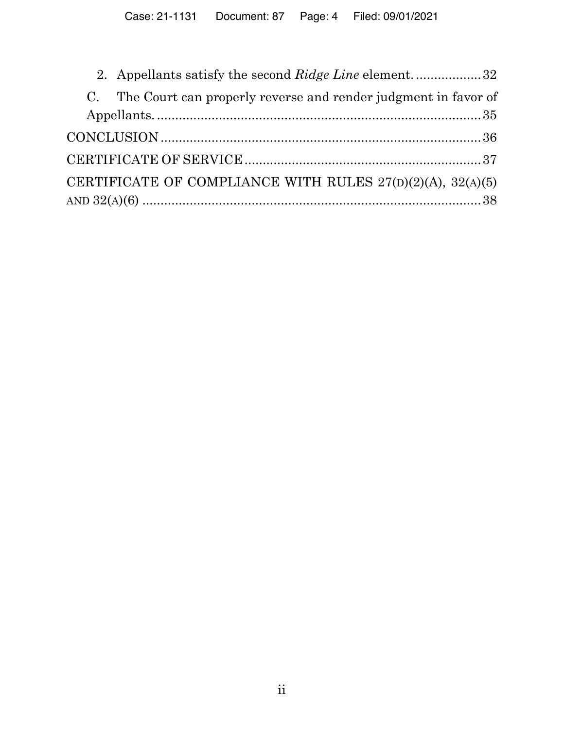| 2. Appellants satisfy the second Ridge Line element32             |
|-------------------------------------------------------------------|
| C. The Court can properly reverse and render judgment in favor of |
|                                                                   |
|                                                                   |
|                                                                   |
| CERTIFICATE OF COMPLIANCE WITH RULES 27(D)(2)(A), 32(A)(5)        |
|                                                                   |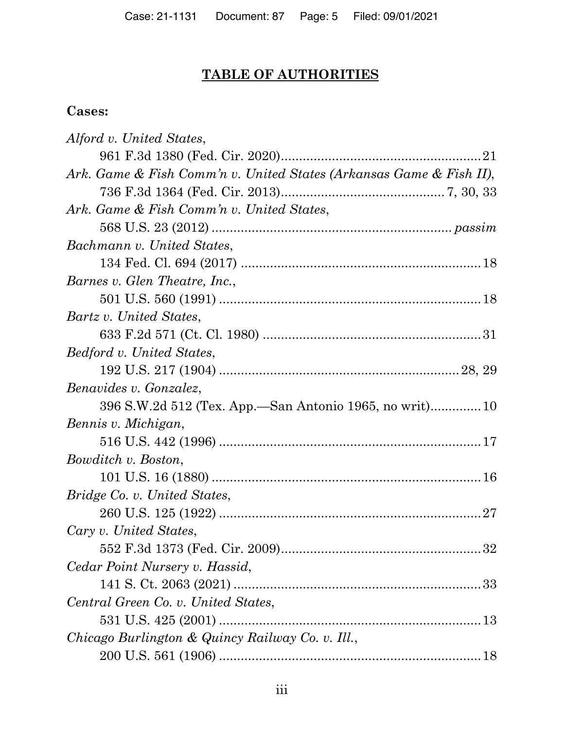# **TABLE OF AUTHORITIES**

## **Cases:**

| Alford v. United States,                                            |
|---------------------------------------------------------------------|
|                                                                     |
| Ark. Game & Fish Comm'n v. United States (Arkansas Game & Fish II), |
|                                                                     |
| Ark. Game & Fish Comm'n v. United States,                           |
|                                                                     |
| Bachmann v. United States,                                          |
|                                                                     |
| Barnes v. Glen Theatre, Inc.,                                       |
|                                                                     |
| Bartz v. United States,                                             |
|                                                                     |
| Bedford v. United States,                                           |
|                                                                     |
| Benavides v. Gonzalez,                                              |
| 396 S.W.2d 512 (Tex. App.—San Antonio 1965, no writ) 10             |
| Bennis v. Michigan,                                                 |
|                                                                     |
| Bowditch v. Boston,                                                 |
|                                                                     |
| Bridge Co. v. United States,                                        |
|                                                                     |
| Cary v. United States,                                              |
|                                                                     |
| Cedar Point Nursery v. Hassid,                                      |
|                                                                     |
| Central Green Co. v. United States,                                 |
|                                                                     |
| Chicago Burlington & Quincy Railway Co. v. Ill.,                    |
|                                                                     |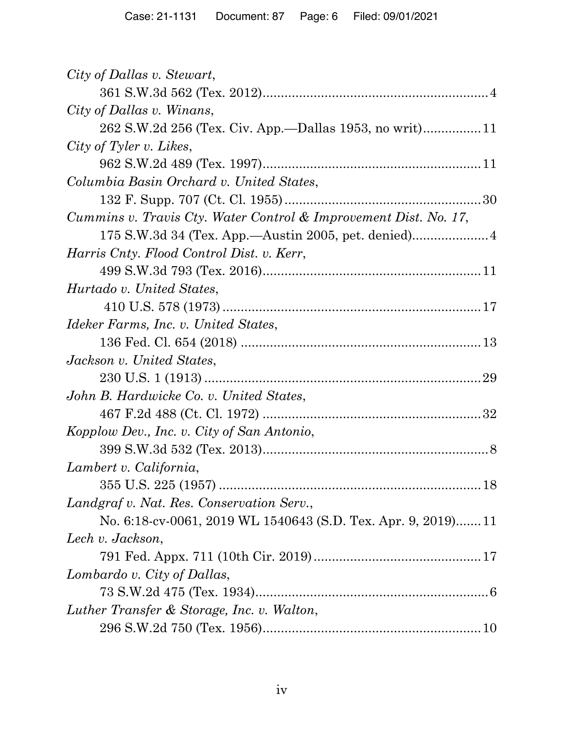| City of Dallas v. Stewart,                                       |
|------------------------------------------------------------------|
|                                                                  |
| City of Dallas v. Winans,                                        |
|                                                                  |
| City of Tyler v. Likes,                                          |
|                                                                  |
| Columbia Basin Orchard v. United States,                         |
|                                                                  |
| Cummins v. Travis Cty. Water Control & Improvement Dist. No. 17, |
|                                                                  |
| Harris Cnty. Flood Control Dist. v. Kerr,                        |
|                                                                  |
| Hurtado v. United States,                                        |
|                                                                  |
| Ideker Farms, Inc. v. United States,                             |
|                                                                  |
| Jackson v. United States,                                        |
|                                                                  |
| John B. Hardwicke Co. v. United States,                          |
|                                                                  |
| Kopplow Dev., Inc. v. City of San Antonio,                       |
|                                                                  |
| Lambert v. California,                                           |
|                                                                  |
| Landgraf v. Nat. Res. Conservation Serv.,                        |
| No. 6:18-cv-0061, 2019 WL 1540643 (S.D. Tex. Apr. 9, 2019)11     |
| Lech v. Jackson,                                                 |
|                                                                  |
| Lombardo v. City of Dallas,                                      |
|                                                                  |
| Luther Transfer & Storage, Inc. v. Walton,                       |
|                                                                  |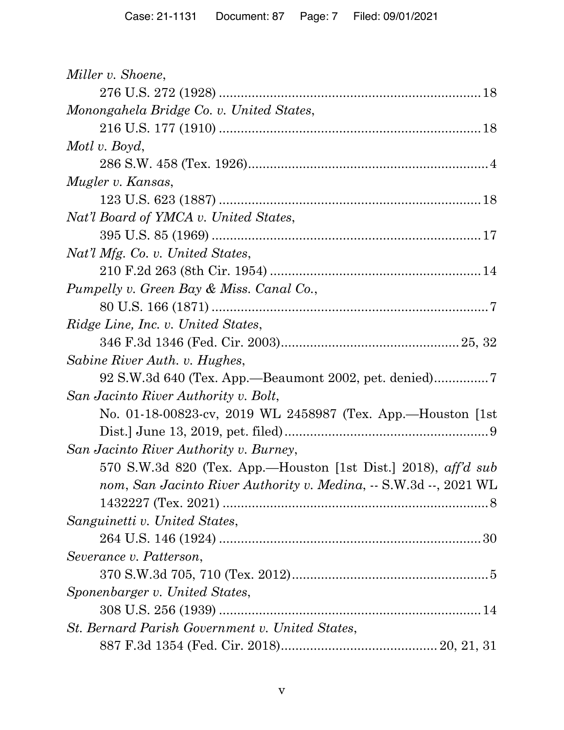| Miller v. Shoene,                                                 |
|-------------------------------------------------------------------|
|                                                                   |
| Monongahela Bridge Co. v. United States,                          |
|                                                                   |
| Motl v. Boyd,                                                     |
|                                                                   |
| Mugler v. Kansas,                                                 |
|                                                                   |
| Nat'l Board of YMCA v. United States,                             |
|                                                                   |
| Nat'l Mfg. Co. v. United States,                                  |
|                                                                   |
| Pumpelly v. Green Bay & Miss. Canal Co.,                          |
|                                                                   |
| Ridge Line, Inc. v. United States,                                |
|                                                                   |
| Sabine River Auth. v. Hughes,                                     |
| 92 S.W.3d 640 (Tex. App.—Beaumont 2002, pet. denied)              |
| San Jacinto River Authority v. Bolt,                              |
| No. 01-18-00823-cv, 2019 WL 2458987 (Tex. App.—Houston [1st]      |
|                                                                   |
| San Jacinto River Authority v. Burney,                            |
| 570 S.W.3d 820 (Tex. App.—Houston [1st Dist.] 2018), aff'd sub    |
| nom, San Jacinto River Authority v. Medina, -- S.W.3d --, 2021 WL |
|                                                                   |
| Sanguinetti v. United States,                                     |
|                                                                   |
| Severance v. Patterson,                                           |
|                                                                   |
| Sponenbarger v. United States,                                    |
|                                                                   |
| St. Bernard Parish Government v. United States,                   |
|                                                                   |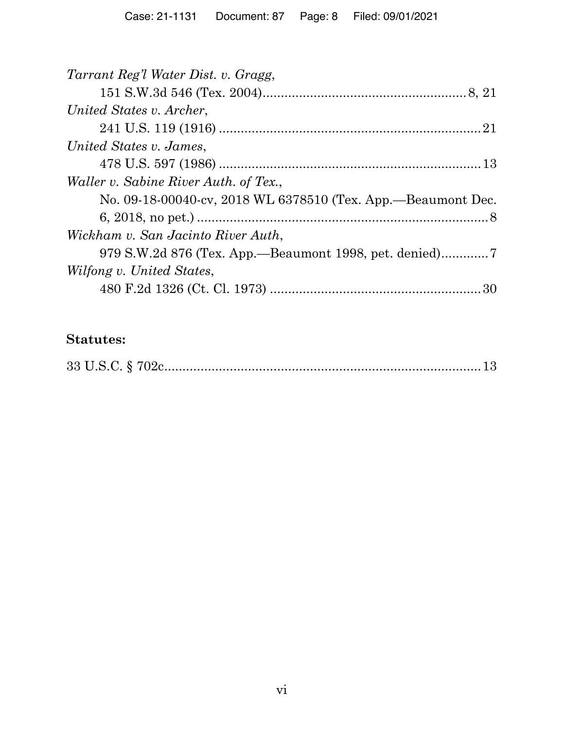# **Statutes:**

|--|--|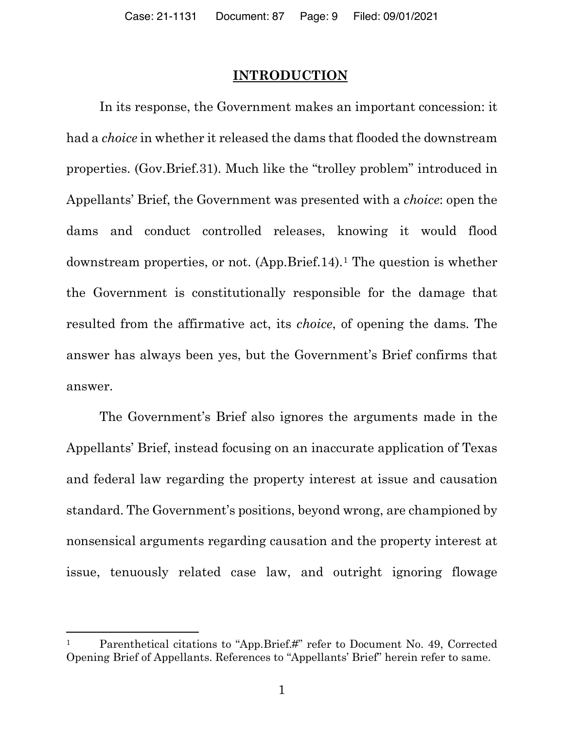#### **INTRODUCTION**

In its response, the Government makes an important concession: it had a *choice* in whether it released the dams that flooded the downstream properties. (Gov.Brief.31). Much like the "trolley problem" introduced in Appellants' Brief, the Government was presented with a *choice*: open the dams and conduct controlled releases, knowing it would flood downstream properties, or not. (App.Brief.14).1 The question is whether the Government is constitutionally responsible for the damage that resulted from the affirmative act, its *choice*, of opening the dams. The answer has always been yes, but the Government's Brief confirms that answer.

The Government's Brief also ignores the arguments made in the Appellants' Brief, instead focusing on an inaccurate application of Texas and federal law regarding the property interest at issue and causation standard. The Government's positions, beyond wrong, are championed by nonsensical arguments regarding causation and the property interest at issue, tenuously related case law, and outright ignoring flowage

Parenthetical citations to "App.Brief.#" refer to Document No. 49, Corrected Opening Brief of Appellants. References to "Appellants' Brief" herein refer to same.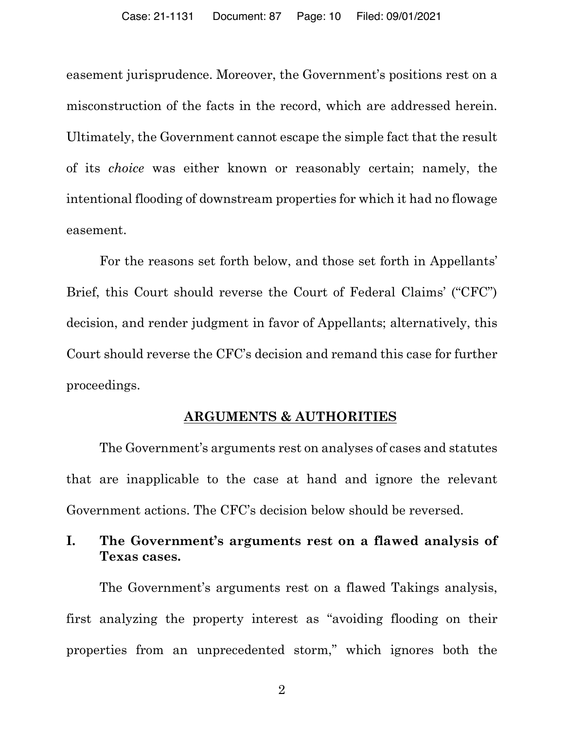easement jurisprudence. Moreover, the Government's positions rest on a misconstruction of the facts in the record, which are addressed herein. Ultimately, the Government cannot escape the simple fact that the result of its *choice* was either known or reasonably certain; namely, the intentional flooding of downstream properties for which it had no flowage easement.

For the reasons set forth below, and those set forth in Appellants' Brief, this Court should reverse the Court of Federal Claims' ("CFC") decision, and render judgment in favor of Appellants; alternatively, this Court should reverse the CFC's decision and remand this case for further proceedings.

## **ARGUMENTS & AUTHORITIES**

The Government's arguments rest on analyses of cases and statutes that are inapplicable to the case at hand and ignore the relevant Government actions. The CFC's decision below should be reversed.

## **I. The Government's arguments rest on a flawed analysis of Texas cases.**

The Government's arguments rest on a flawed Takings analysis, first analyzing the property interest as "avoiding flooding on their properties from an unprecedented storm," which ignores both the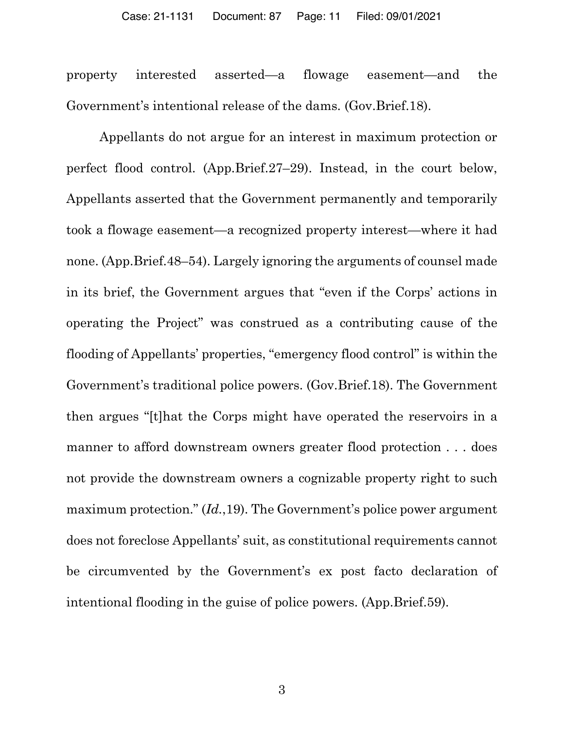property interested asserted—a flowage easement—and the Government's intentional release of the dams. (Gov.Brief.18).

Appellants do not argue for an interest in maximum protection or perfect flood control. (App.Brief.27–29). Instead, in the court below, Appellants asserted that the Government permanently and temporarily took a flowage easement—a recognized property interest—where it had none. (App.Brief.48–54). Largely ignoring the arguments of counsel made in its brief, the Government argues that "even if the Corps' actions in operating the Project" was construed as a contributing cause of the flooding of Appellants' properties, "emergency flood control" is within the Government's traditional police powers. (Gov.Brief.18). The Government then argues "[t]hat the Corps might have operated the reservoirs in a manner to afford downstream owners greater flood protection . . . does not provide the downstream owners a cognizable property right to such maximum protection." (*Id.*,19). The Government's police power argument does not foreclose Appellants' suit, as constitutional requirements cannot be circumvented by the Government's ex post facto declaration of intentional flooding in the guise of police powers. (App.Brief.59).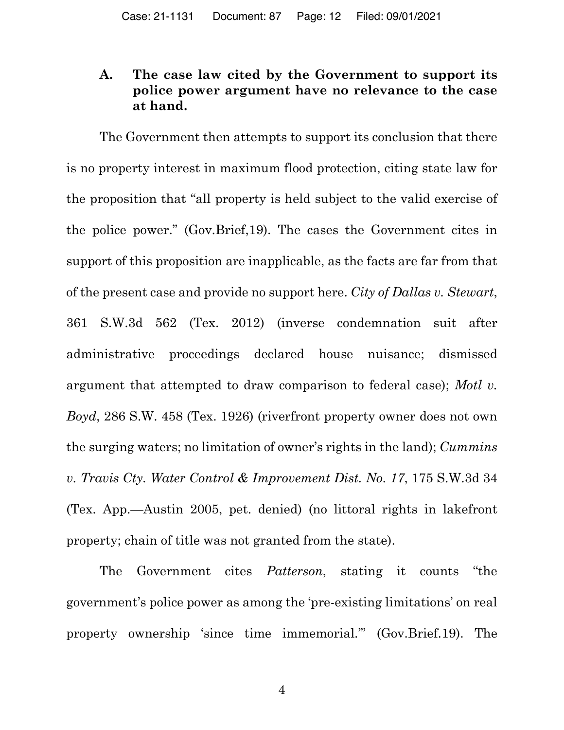## **A. The case law cited by the Government to support its police power argument have no relevance to the case at hand.**

The Government then attempts to support its conclusion that there is no property interest in maximum flood protection, citing state law for the proposition that "all property is held subject to the valid exercise of the police power." (Gov.Brief,19). The cases the Government cites in support of this proposition are inapplicable, as the facts are far from that of the present case and provide no support here. *City of Dallas v. Stewart*, 361 S.W.3d 562 (Tex. 2012) (inverse condemnation suit after administrative proceedings declared house nuisance; dismissed argument that attempted to draw comparison to federal case); *Motl v. Boyd*, 286 S.W. 458 (Tex. 1926) (riverfront property owner does not own the surging waters; no limitation of owner's rights in the land); *Cummins v. Travis Cty. Water Control & Improvement Dist. No. 17*, 175 S.W.3d 34 (Tex. App.—Austin 2005, pet. denied) (no littoral rights in lakefront property; chain of title was not granted from the state).

The Government cites *Patterson*, stating it counts "the government's police power as among the 'pre-existing limitations' on real property ownership 'since time immemorial.'" (Gov.Brief.19). The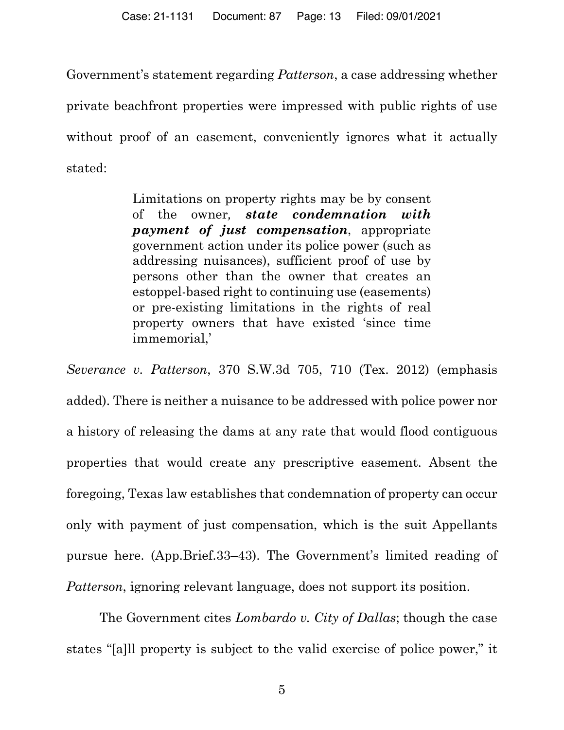Government's statement regarding *Patterson*, a case addressing whether private beachfront properties were impressed with public rights of use without proof of an easement, conveniently ignores what it actually stated:

> Limitations on property rights may be by consent of the owner*, state condemnation with payment of just compensation*, appropriate government action under its police power (such as addressing nuisances), sufficient proof of use by persons other than the owner that creates an estoppel-based right to continuing use (easements) or pre-existing limitations in the rights of real property owners that have existed 'since time immemorial,'

*Severance v. Patterson*, 370 S.W.3d 705, 710 (Tex. 2012) (emphasis added). There is neither a nuisance to be addressed with police power nor a history of releasing the dams at any rate that would flood contiguous properties that would create any prescriptive easement. Absent the foregoing, Texas law establishes that condemnation of property can occur only with payment of just compensation, which is the suit Appellants pursue here. (App.Brief.33–43). The Government's limited reading of *Patterson*, ignoring relevant language, does not support its position.

The Government cites *Lombardo v. City of Dallas*; though the case states "[a]ll property is subject to the valid exercise of police power," it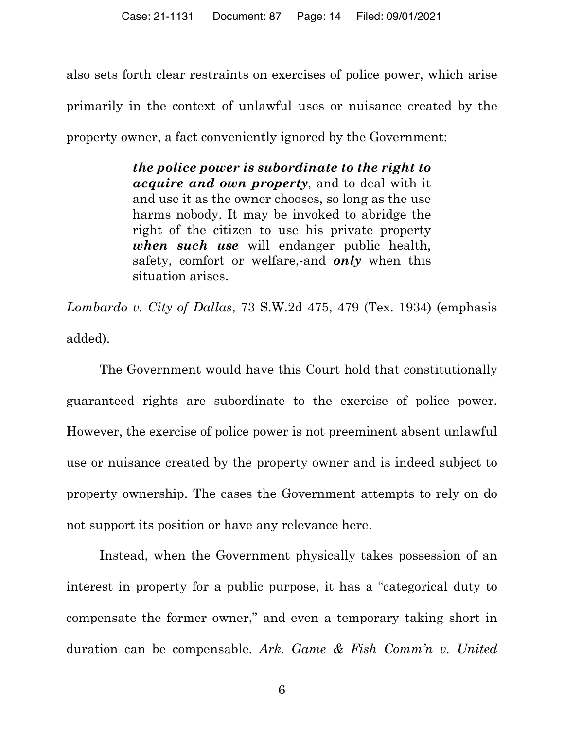also sets forth clear restraints on exercises of police power, which arise primarily in the context of unlawful uses or nuisance created by the property owner, a fact conveniently ignored by the Government:

> *the police power is subordinate to the right to acquire and own property*, and to deal with it and use it as the owner chooses, so long as the use harms nobody. It may be invoked to abridge the right of the citizen to use his private property *when such use* will endanger public health, safety, comfort or welfare,-and *only* when this situation arises.

*Lombardo v. City of Dallas*, 73 S.W.2d 475, 479 (Tex. 1934) (emphasis added).

The Government would have this Court hold that constitutionally guaranteed rights are subordinate to the exercise of police power. However, the exercise of police power is not preeminent absent unlawful use or nuisance created by the property owner and is indeed subject to property ownership. The cases the Government attempts to rely on do not support its position or have any relevance here.

Instead, when the Government physically takes possession of an interest in property for a public purpose, it has a "categorical duty to compensate the former owner," and even a temporary taking short in duration can be compensable. *Ark. Game & Fish Comm'n v. United*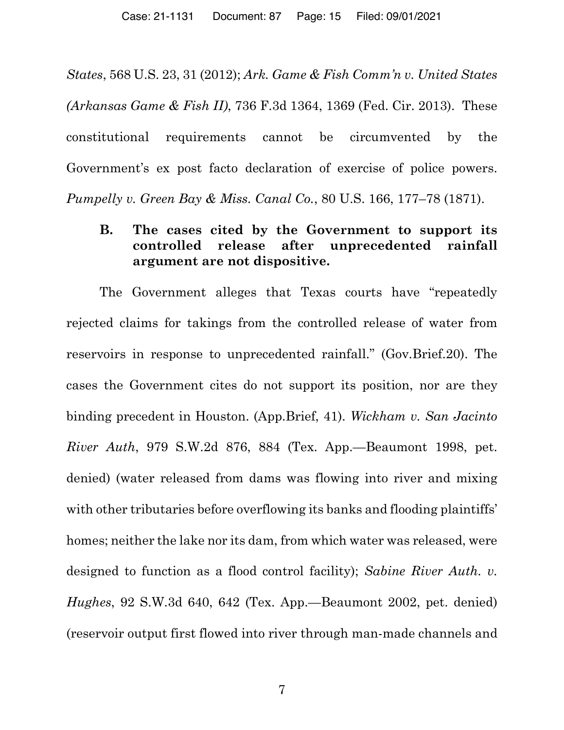*States*, 568 U.S. 23, 31 (2012); *Ark. Game & Fish Comm'n v. United States (Arkansas Game & Fish II)*, 736 F.3d 1364, 1369 (Fed. Cir. 2013). These constitutional requirements cannot be circumvented by the Government's ex post facto declaration of exercise of police powers. *Pumpelly v. Green Bay & Miss. Canal Co.*, 80 U.S. 166, 177–78 (1871).

## **B. The cases cited by the Government to support its controlled release after unprecedented rainfall argument are not dispositive.**

The Government alleges that Texas courts have "repeatedly rejected claims for takings from the controlled release of water from reservoirs in response to unprecedented rainfall." (Gov.Brief.20). The cases the Government cites do not support its position, nor are they binding precedent in Houston. (App.Brief, 41). *Wickham v. San Jacinto River Auth*, 979 S.W.2d 876, 884 (Tex. App.—Beaumont 1998, pet. denied) (water released from dams was flowing into river and mixing with other tributaries before overflowing its banks and flooding plaintiffs' homes; neither the lake nor its dam, from which water was released, were designed to function as a flood control facility); *Sabine River Auth. v. Hughes*, 92 S.W.3d 640, 642 (Tex. App.—Beaumont 2002, pet. denied) (reservoir output first flowed into river through man-made channels and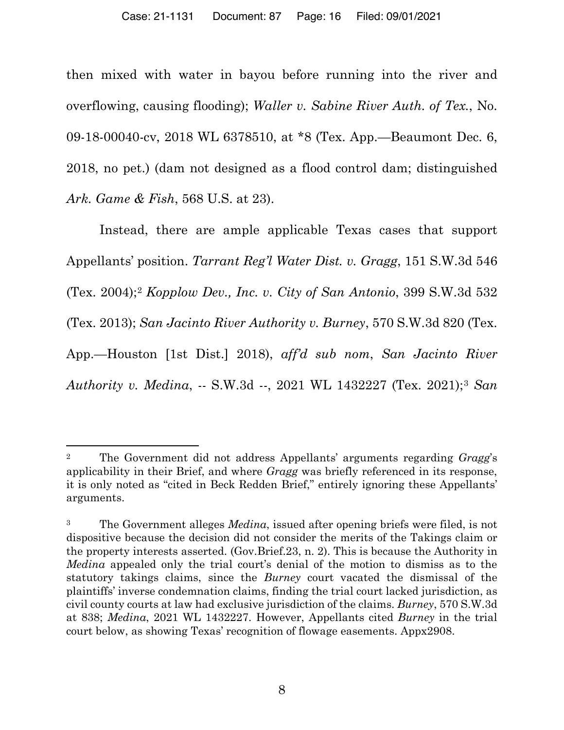then mixed with water in bayou before running into the river and overflowing, causing flooding); *Waller v. Sabine River Auth. of Tex.*, No. 09-18-00040-cv, 2018 WL 6378510, at \*8 (Tex. App.—Beaumont Dec. 6, 2018, no pet.) (dam not designed as a flood control dam; distinguished *Ark. Game & Fish*, 568 U.S. at 23).

Instead, there are ample applicable Texas cases that support Appellants' position. *Tarrant Reg'l Water Dist. v. Gragg*, 151 S.W.3d 546 (Tex. 2004);2 *Kopplow Dev., Inc. v. City of San Antonio*, 399 S.W.3d 532 (Tex. 2013); *San Jacinto River Authority v. Burney*, 570 S.W.3d 820 (Tex. App.—Houston [1st Dist.] 2018), *aff'd sub nom*, *San Jacinto River Authority v. Medina*, -- S.W.3d --, 2021 WL 1432227 (Tex. 2021);3 *San* 

<sup>2</sup> The Government did not address Appellants' arguments regarding *Gragg*'s applicability in their Brief, and where *Gragg* was briefly referenced in its response, it is only noted as "cited in Beck Redden Brief," entirely ignoring these Appellants' arguments.

<sup>3</sup> The Government alleges *Medina*, issued after opening briefs were filed, is not dispositive because the decision did not consider the merits of the Takings claim or the property interests asserted. (Gov.Brief.23, n. 2). This is because the Authority in *Medina* appealed only the trial court's denial of the motion to dismiss as to the statutory takings claims, since the *Burney* court vacated the dismissal of the plaintiffs' inverse condemnation claims, finding the trial court lacked jurisdiction, as civil county courts at law had exclusive jurisdiction of the claims. *Burney*, 570 S.W.3d at 838; *Medina*, 2021 WL 1432227. However, Appellants cited *Burney* in the trial court below, as showing Texas' recognition of flowage easements. Appx2908.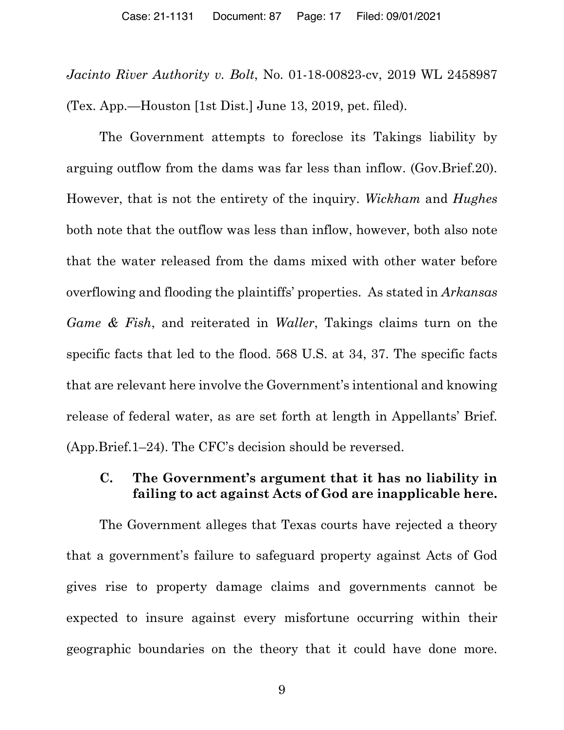*Jacinto River Authority v. Bolt*, No. 01-18-00823-cv, 2019 WL 2458987 (Tex. App.—Houston [1st Dist.] June 13, 2019, pet. filed).

The Government attempts to foreclose its Takings liability by arguing outflow from the dams was far less than inflow. (Gov.Brief.20). However, that is not the entirety of the inquiry. *Wickham* and *Hughes* both note that the outflow was less than inflow, however, both also note that the water released from the dams mixed with other water before overflowing and flooding the plaintiffs' properties. As stated in *Arkansas Game & Fish*, and reiterated in *Waller*, Takings claims turn on the specific facts that led to the flood. 568 U.S. at 34, 37. The specific facts that are relevant here involve the Government's intentional and knowing release of federal water, as are set forth at length in Appellants' Brief. (App.Brief.1–24). The CFC's decision should be reversed.

## **C. The Government's argument that it has no liability in failing to act against Acts of God are inapplicable here.**

The Government alleges that Texas courts have rejected a theory that a government's failure to safeguard property against Acts of God gives rise to property damage claims and governments cannot be expected to insure against every misfortune occurring within their geographic boundaries on the theory that it could have done more.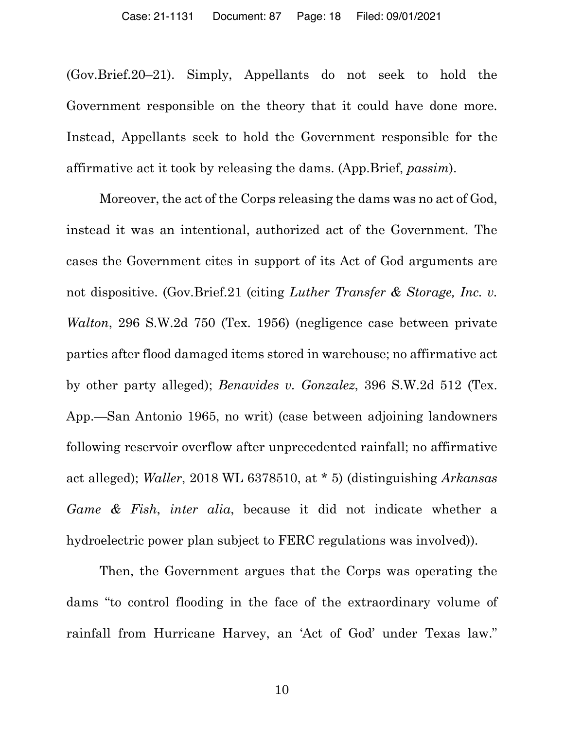(Gov.Brief.20–21). Simply, Appellants do not seek to hold the Government responsible on the theory that it could have done more. Instead, Appellants seek to hold the Government responsible for the affirmative act it took by releasing the dams. (App.Brief, *passim*).

Moreover, the act of the Corps releasing the dams was no act of God, instead it was an intentional, authorized act of the Government. The cases the Government cites in support of its Act of God arguments are not dispositive. (Gov.Brief.21 (citing *Luther Transfer & Storage, Inc. v. Walton*, 296 S.W.2d 750 (Tex. 1956) (negligence case between private parties after flood damaged items stored in warehouse; no affirmative act by other party alleged); *Benavides v. Gonzalez*, 396 S.W.2d 512 (Tex. App.—San Antonio 1965, no writ) (case between adjoining landowners following reservoir overflow after unprecedented rainfall; no affirmative act alleged); *Waller*, 2018 WL 6378510, at \* 5) (distinguishing *Arkansas Game & Fish*, *inter alia*, because it did not indicate whether a hydroelectric power plan subject to FERC regulations was involved)).

Then, the Government argues that the Corps was operating the dams "to control flooding in the face of the extraordinary volume of rainfall from Hurricane Harvey, an 'Act of God' under Texas law."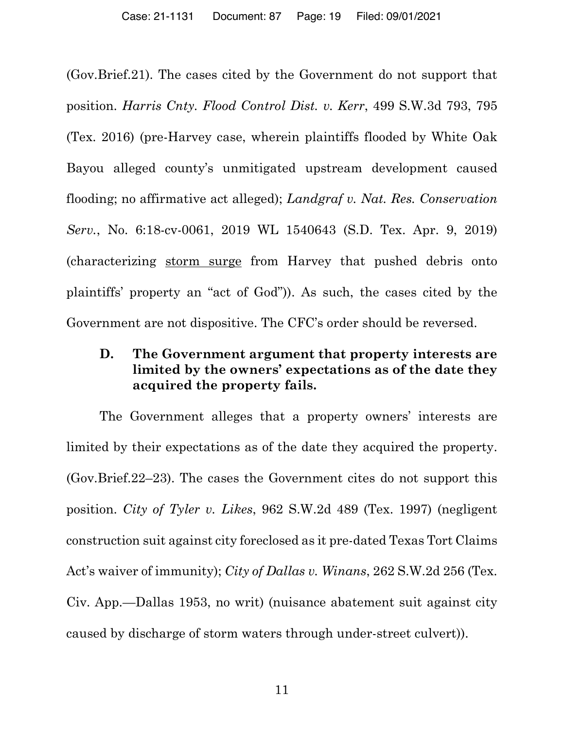(Gov.Brief.21). The cases cited by the Government do not support that position. *Harris Cnty. Flood Control Dist. v. Kerr*, 499 S.W.3d 793, 795 (Tex. 2016) (pre-Harvey case, wherein plaintiffs flooded by White Oak Bayou alleged county's unmitigated upstream development caused flooding; no affirmative act alleged); *Landgraf v. Nat. Res. Conservation Serv.*, No. 6:18-cv-0061, 2019 WL 1540643 (S.D. Tex. Apr. 9, 2019) (characterizing storm surge from Harvey that pushed debris onto plaintiffs' property an "act of God")). As such, the cases cited by the Government are not dispositive. The CFC's order should be reversed.

## **D. The Government argument that property interests are limited by the owners' expectations as of the date they acquired the property fails.**

The Government alleges that a property owners' interests are limited by their expectations as of the date they acquired the property. (Gov.Brief.22–23). The cases the Government cites do not support this position. *City of Tyler v. Likes*, 962 S.W.2d 489 (Tex. 1997) (negligent construction suit against city foreclosed as it pre-dated Texas Tort Claims Act's waiver of immunity); *City of Dallas v. Winans*, 262 S.W.2d 256 (Tex. Civ. App.—Dallas 1953, no writ) (nuisance abatement suit against city caused by discharge of storm waters through under-street culvert)).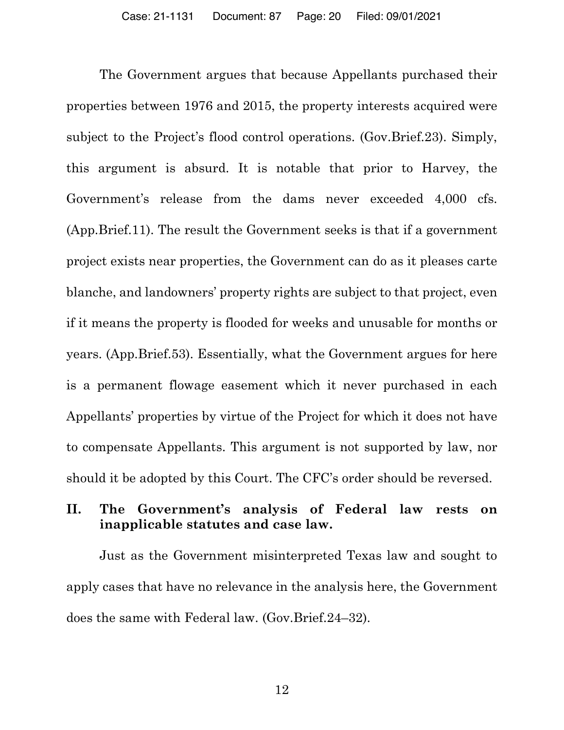The Government argues that because Appellants purchased their properties between 1976 and 2015, the property interests acquired were subject to the Project's flood control operations. (Gov.Brief.23). Simply, this argument is absurd. It is notable that prior to Harvey, the Government's release from the dams never exceeded 4,000 cfs. (App.Brief.11). The result the Government seeks is that if a government project exists near properties, the Government can do as it pleases carte blanche, and landowners' property rights are subject to that project, even if it means the property is flooded for weeks and unusable for months or years. (App.Brief.53). Essentially, what the Government argues for here is a permanent flowage easement which it never purchased in each Appellants' properties by virtue of the Project for which it does not have to compensate Appellants. This argument is not supported by law, nor should it be adopted by this Court. The CFC's order should be reversed.

## **II. The Government's analysis of Federal law rests on inapplicable statutes and case law.**

Just as the Government misinterpreted Texas law and sought to apply cases that have no relevance in the analysis here, the Government does the same with Federal law. (Gov.Brief.24–32).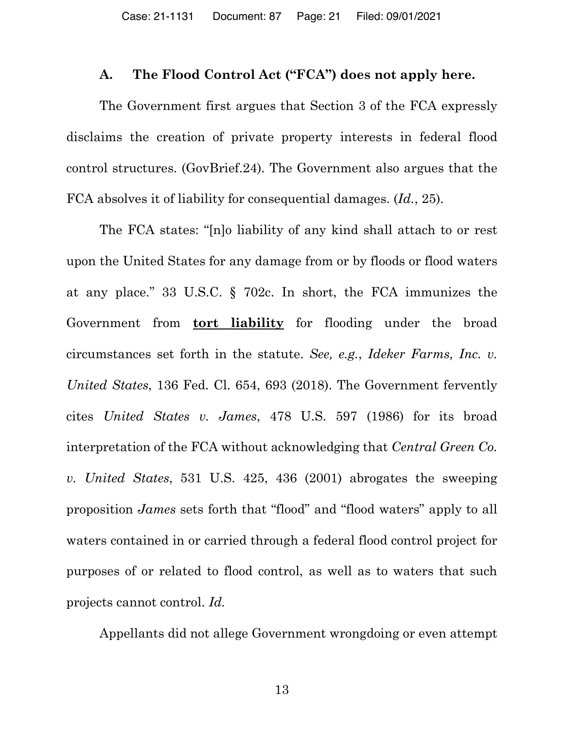#### **A. The Flood Control Act ("FCA") does not apply here.**

The Government first argues that Section 3 of the FCA expressly disclaims the creation of private property interests in federal flood control structures. (GovBrief.24). The Government also argues that the FCA absolves it of liability for consequential damages. (*Id.*, 25).

The FCA states: "[n]o liability of any kind shall attach to or rest upon the United States for any damage from or by floods or flood waters at any place." 33 U.S.C. § 702c. In short, the FCA immunizes the Government from **tort liability** for flooding under the broad circumstances set forth in the statute. *See, e.g.*, *Ideker Farms, Inc. v. United States*, 136 Fed. Cl. 654, 693 (2018). The Government fervently cites *United States v. James*, 478 U.S. 597 (1986) for its broad interpretation of the FCA without acknowledging that *Central Green Co. v. United States*, 531 U.S. 425, 436 (2001) abrogates the sweeping proposition *James* sets forth that "flood" and "flood waters" apply to all waters contained in or carried through a federal flood control project for purposes of or related to flood control, as well as to waters that such projects cannot control. *Id.*

Appellants did not allege Government wrongdoing or even attempt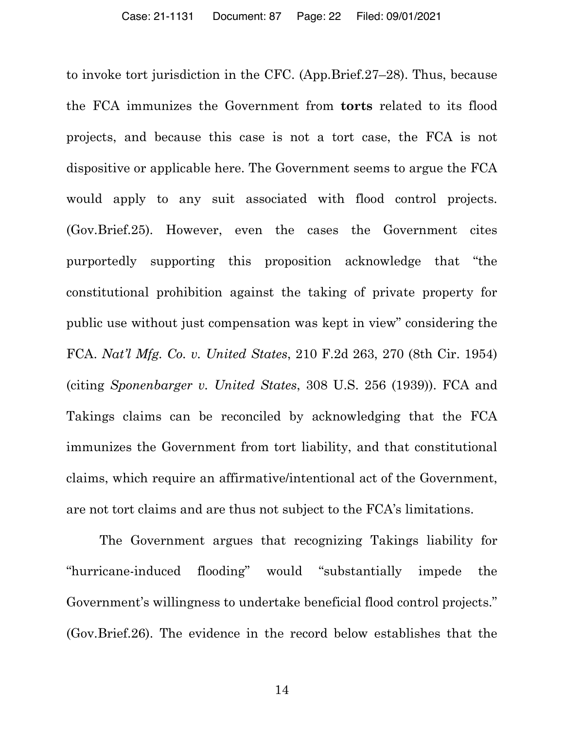to invoke tort jurisdiction in the CFC. (App.Brief.27–28). Thus, because the FCA immunizes the Government from **torts** related to its flood projects, and because this case is not a tort case, the FCA is not dispositive or applicable here. The Government seems to argue the FCA would apply to any suit associated with flood control projects. (Gov.Brief.25). However, even the cases the Government cites purportedly supporting this proposition acknowledge that "the constitutional prohibition against the taking of private property for public use without just compensation was kept in view" considering the FCA. *Nat'l Mfg. Co. v. United States*, 210 F.2d 263, 270 (8th Cir. 1954) (citing *Sponenbarger v. United States*, 308 U.S. 256 (1939)). FCA and Takings claims can be reconciled by acknowledging that the FCA immunizes the Government from tort liability, and that constitutional claims, which require an affirmative/intentional act of the Government, are not tort claims and are thus not subject to the FCA's limitations.

The Government argues that recognizing Takings liability for "hurricane-induced flooding" would "substantially impede the Government's willingness to undertake beneficial flood control projects." (Gov.Brief.26). The evidence in the record below establishes that the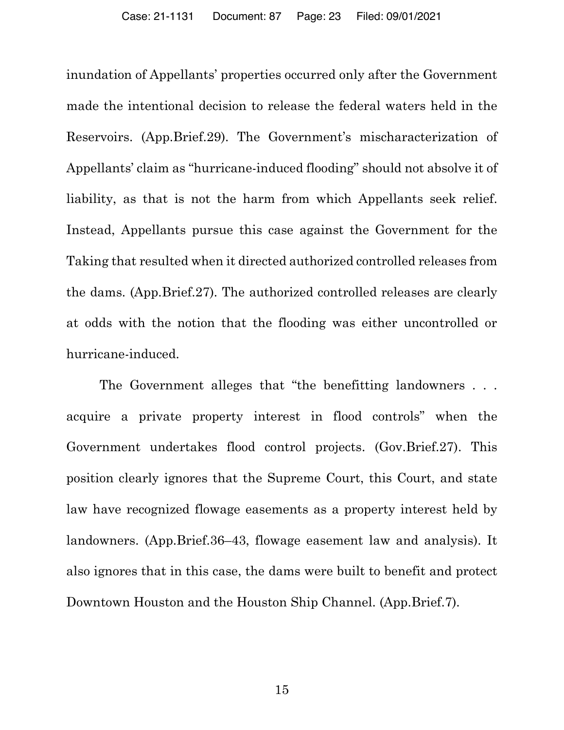inundation of Appellants' properties occurred only after the Government made the intentional decision to release the federal waters held in the Reservoirs. (App.Brief.29). The Government's mischaracterization of Appellants' claim as "hurricane-induced flooding" should not absolve it of liability, as that is not the harm from which Appellants seek relief. Instead, Appellants pursue this case against the Government for the Taking that resulted when it directed authorized controlled releases from the dams. (App.Brief.27). The authorized controlled releases are clearly at odds with the notion that the flooding was either uncontrolled or hurricane-induced.

The Government alleges that "the benefitting landowners . . . acquire a private property interest in flood controls" when the Government undertakes flood control projects. (Gov.Brief.27). This position clearly ignores that the Supreme Court, this Court, and state law have recognized flowage easements as a property interest held by landowners. (App.Brief.36–43, flowage easement law and analysis). It also ignores that in this case, the dams were built to benefit and protect Downtown Houston and the Houston Ship Channel. (App.Brief.7).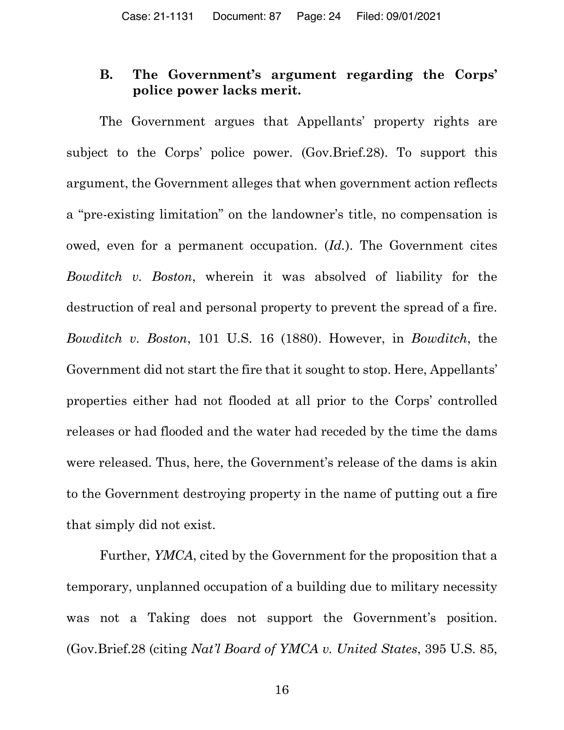## **B. The Government's argument regarding the Corps' police power lacks merit.**

The Government argues that Appellants' property rights are subject to the Corps' police power. (Gov.Brief.28). To support this argument, the Government alleges that when government action reflects a "pre-existing limitation" on the landowner's title, no compensation is owed, even for a permanent occupation. (*Id.*). The Government cites *Bowditch v. Boston*, wherein it was absolved of liability for the destruction of real and personal property to prevent the spread of a fire. *Bowditch v. Boston*, 101 U.S. 16 (1880). However, in *Bowditch*, the Government did not start the fire that it sought to stop. Here, Appellants' properties either had not flooded at all prior to the Corps' controlled releases or had flooded and the water had receded by the time the dams were released. Thus, here, the Government's release of the dams is akin to the Government destroying property in the name of putting out a fire that simply did not exist.

Further, *YMCA*, cited by the Government for the proposition that a temporary, unplanned occupation of a building due to military necessity was not a Taking does not support the Government's position. (Gov.Brief.28 (citing *Nat'l Board of YMCA v. United States*, 395 U.S. 85,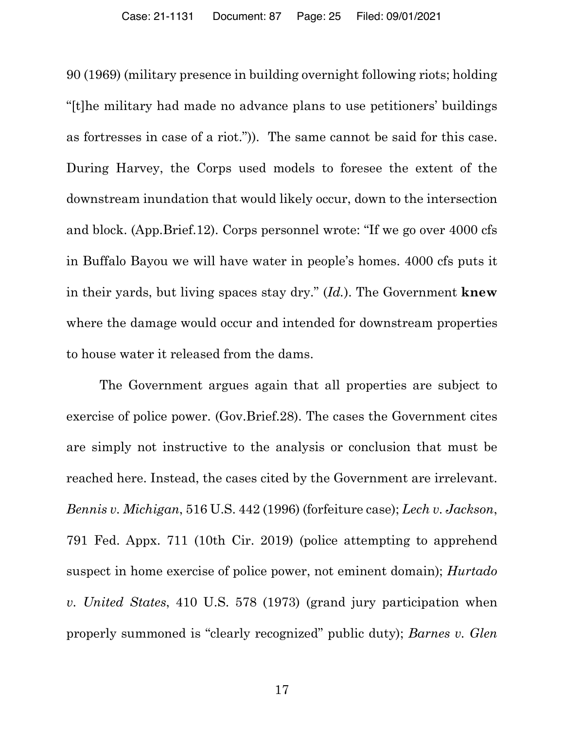90 (1969) (military presence in building overnight following riots; holding "[t]he military had made no advance plans to use petitioners' buildings as fortresses in case of a riot.")). The same cannot be said for this case. During Harvey, the Corps used models to foresee the extent of the downstream inundation that would likely occur, down to the intersection and block. (App.Brief.12). Corps personnel wrote: "If we go over 4000 cfs in Buffalo Bayou we will have water in people's homes. 4000 cfs puts it in their yards, but living spaces stay dry." (*Id.*). The Government **knew** where the damage would occur and intended for downstream properties to house water it released from the dams.

The Government argues again that all properties are subject to exercise of police power. (Gov.Brief.28). The cases the Government cites are simply not instructive to the analysis or conclusion that must be reached here. Instead, the cases cited by the Government are irrelevant. *Bennis v. Michigan*, 516 U.S. 442 (1996) (forfeiture case); *Lech v. Jackson*, 791 Fed. Appx. 711 (10th Cir. 2019) (police attempting to apprehend suspect in home exercise of police power, not eminent domain); *Hurtado v. United States*, 410 U.S. 578 (1973) (grand jury participation when properly summoned is "clearly recognized" public duty); *Barnes v. Glen*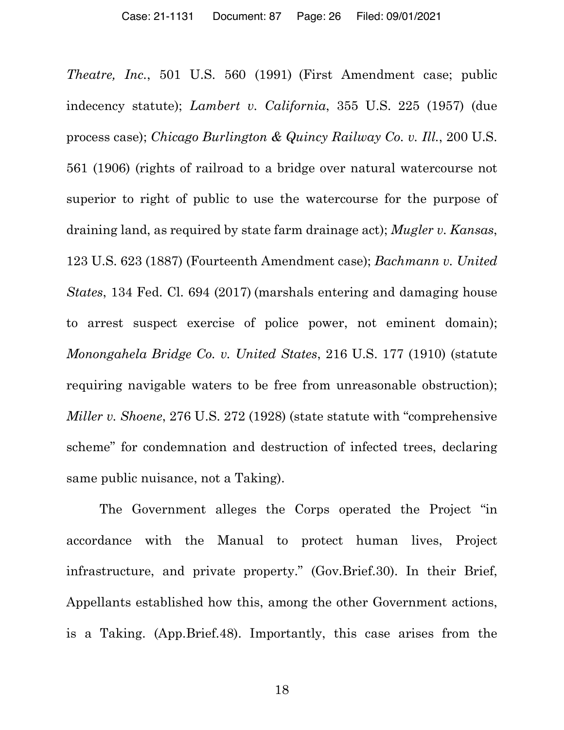*Theatre, Inc.*, 501 U.S. 560 (1991) (First Amendment case; public indecency statute); *Lambert v. California*, 355 U.S. 225 (1957) (due process case); *Chicago Burlington & Quincy Railway Co. v. Ill.*, 200 U.S. 561 (1906) (rights of railroad to a bridge over natural watercourse not superior to right of public to use the watercourse for the purpose of draining land, as required by state farm drainage act); *Mugler v. Kansas*, 123 U.S. 623 (1887) (Fourteenth Amendment case); *Bachmann v. United States*, 134 Fed. Cl. 694 (2017) (marshals entering and damaging house to arrest suspect exercise of police power, not eminent domain); *Monongahela Bridge Co. v. United States*, 216 U.S. 177 (1910) (statute requiring navigable waters to be free from unreasonable obstruction); *Miller v. Shoene*, 276 U.S. 272 (1928) (state statute with "comprehensive scheme" for condemnation and destruction of infected trees, declaring same public nuisance, not a Taking).

The Government alleges the Corps operated the Project "in accordance with the Manual to protect human lives, Project infrastructure, and private property." (Gov.Brief.30). In their Brief, Appellants established how this, among the other Government actions, is a Taking. (App.Brief.48). Importantly, this case arises from the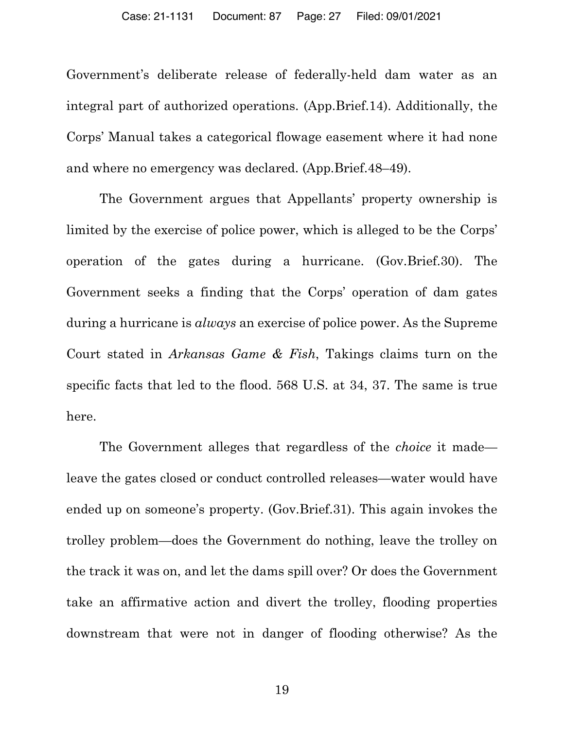Government's deliberate release of federally-held dam water as an integral part of authorized operations. (App.Brief.14). Additionally, the Corps' Manual takes a categorical flowage easement where it had none and where no emergency was declared. (App.Brief.48–49).

The Government argues that Appellants' property ownership is limited by the exercise of police power, which is alleged to be the Corps' operation of the gates during a hurricane. (Gov.Brief.30). The Government seeks a finding that the Corps' operation of dam gates during a hurricane is *always* an exercise of police power. As the Supreme Court stated in *Arkansas Game & Fish*, Takings claims turn on the specific facts that led to the flood. 568 U.S. at 34, 37. The same is true here.

The Government alleges that regardless of the *choice* it made leave the gates closed or conduct controlled releases—water would have ended up on someone's property. (Gov.Brief.31). This again invokes the trolley problem—does the Government do nothing, leave the trolley on the track it was on, and let the dams spill over? Or does the Government take an affirmative action and divert the trolley, flooding properties downstream that were not in danger of flooding otherwise? As the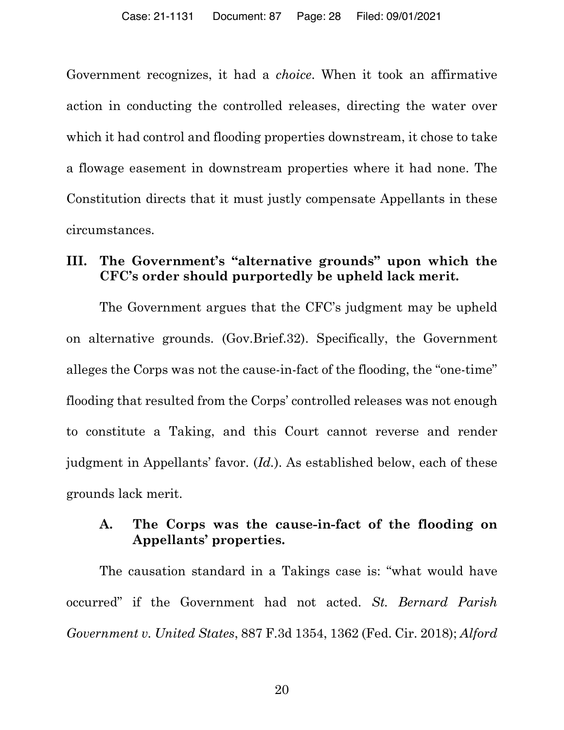Government recognizes, it had a *choice*. When it took an affirmative action in conducting the controlled releases, directing the water over which it had control and flooding properties downstream, it chose to take a flowage easement in downstream properties where it had none. The Constitution directs that it must justly compensate Appellants in these circumstances.

## **III. The Government's "alternative grounds" upon which the CFC's order should purportedly be upheld lack merit.**

The Government argues that the CFC's judgment may be upheld on alternative grounds. (Gov.Brief.32). Specifically, the Government alleges the Corps was not the cause-in-fact of the flooding, the "one-time" flooding that resulted from the Corps' controlled releases was not enough to constitute a Taking, and this Court cannot reverse and render judgment in Appellants' favor. (*Id.*). As established below, each of these grounds lack merit.

## **A. The Corps was the cause-in-fact of the flooding on Appellants' properties.**

The causation standard in a Takings case is: "what would have occurred" if the Government had not acted. *St. Bernard Parish Government v. United States*, 887 F.3d 1354, 1362 (Fed. Cir. 2018); *Alford*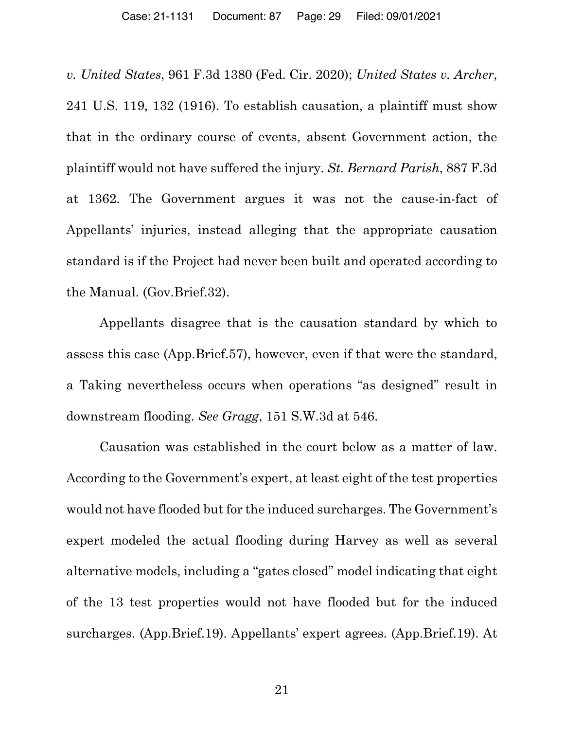*v. United States*, 961 F.3d 1380 (Fed. Cir. 2020); *United States v. Archer*, 241 U.S. 119, 132 (1916). To establish causation, a plaintiff must show that in the ordinary course of events, absent Government action, the plaintiff would not have suffered the injury. *St. Bernard Parish*, 887 F.3d at 1362. The Government argues it was not the cause-in-fact of Appellants' injuries, instead alleging that the appropriate causation standard is if the Project had never been built and operated according to the Manual. (Gov.Brief.32).

Appellants disagree that is the causation standard by which to assess this case (App.Brief.57), however, even if that were the standard, a Taking nevertheless occurs when operations "as designed" result in downstream flooding. *See Gragg*, 151 S.W.3d at 546.

Causation was established in the court below as a matter of law. According to the Government's expert, at least eight of the test properties would not have flooded but for the induced surcharges. The Government's expert modeled the actual flooding during Harvey as well as several alternative models, including a "gates closed" model indicating that eight of the 13 test properties would not have flooded but for the induced surcharges. (App.Brief.19). Appellants' expert agrees. (App.Brief.19). At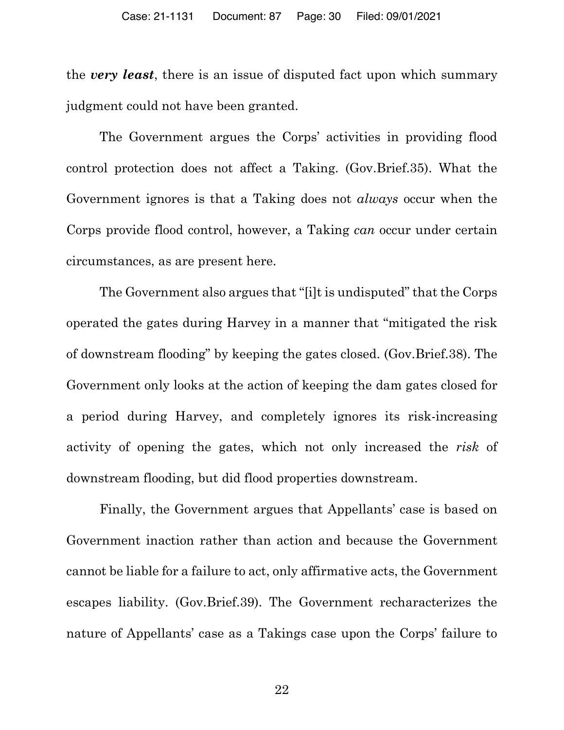the *very least*, there is an issue of disputed fact upon which summary judgment could not have been granted.

The Government argues the Corps' activities in providing flood control protection does not affect a Taking. (Gov.Brief.35). What the Government ignores is that a Taking does not *always* occur when the Corps provide flood control, however, a Taking *can* occur under certain circumstances, as are present here.

The Government also argues that "[i]t is undisputed" that the Corps operated the gates during Harvey in a manner that "mitigated the risk of downstream flooding" by keeping the gates closed. (Gov.Brief.38). The Government only looks at the action of keeping the dam gates closed for a period during Harvey, and completely ignores its risk-increasing activity of opening the gates, which not only increased the *risk* of downstream flooding, but did flood properties downstream.

Finally, the Government argues that Appellants' case is based on Government inaction rather than action and because the Government cannot be liable for a failure to act, only affirmative acts, the Government escapes liability. (Gov.Brief.39). The Government recharacterizes the nature of Appellants' case as a Takings case upon the Corps' failure to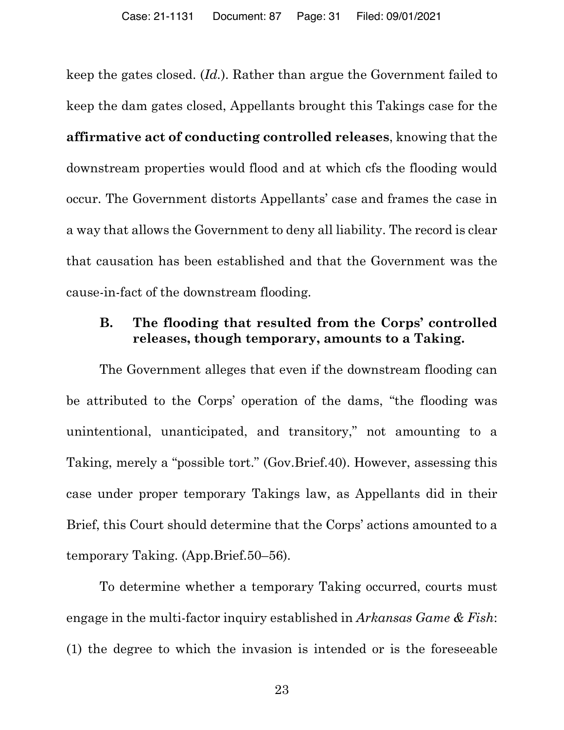keep the gates closed. (*Id.*). Rather than argue the Government failed to keep the dam gates closed, Appellants brought this Takings case for the **affirmative act of conducting controlled releases**, knowing that the downstream properties would flood and at which cfs the flooding would occur. The Government distorts Appellants' case and frames the case in a way that allows the Government to deny all liability. The record is clear that causation has been established and that the Government was the cause-in-fact of the downstream flooding.

## **B. The flooding that resulted from the Corps' controlled releases, though temporary, amounts to a Taking.**

The Government alleges that even if the downstream flooding can be attributed to the Corps' operation of the dams, "the flooding was unintentional, unanticipated, and transitory," not amounting to a Taking, merely a "possible tort." (Gov.Brief.40). However, assessing this case under proper temporary Takings law, as Appellants did in their Brief, this Court should determine that the Corps' actions amounted to a temporary Taking. (App.Brief.50–56).

To determine whether a temporary Taking occurred, courts must engage in the multi-factor inquiry established in *Arkansas Game & Fish*: (1) the degree to which the invasion is intended or is the foreseeable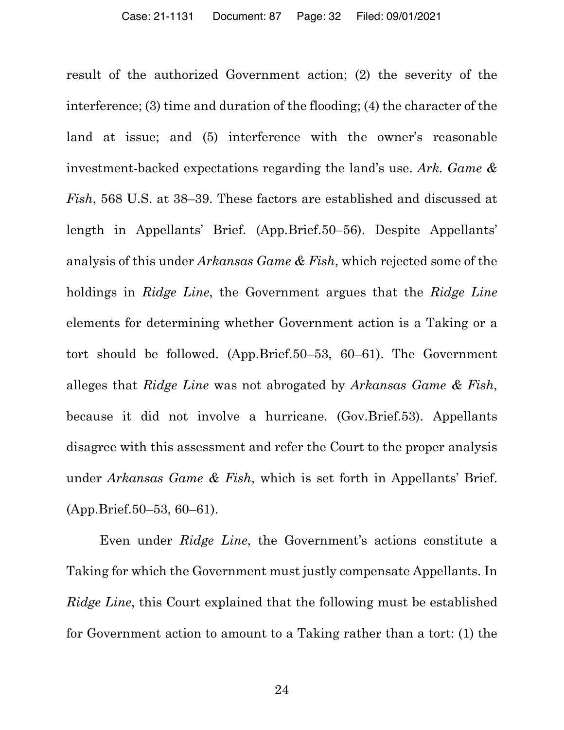result of the authorized Government action; (2) the severity of the interference; (3) time and duration of the flooding; (4) the character of the land at issue; and (5) interference with the owner's reasonable investment-backed expectations regarding the land's use. *Ark. Game & Fish*, 568 U.S. at 38–39. These factors are established and discussed at length in Appellants' Brief. (App.Brief.50–56). Despite Appellants' analysis of this under *Arkansas Game & Fish*, which rejected some of the holdings in *Ridge Line*, the Government argues that the *Ridge Line* elements for determining whether Government action is a Taking or a tort should be followed. (App.Brief.50–53, 60–61). The Government alleges that *Ridge Line* was not abrogated by *Arkansas Game & Fish*, because it did not involve a hurricane. (Gov.Brief.53). Appellants disagree with this assessment and refer the Court to the proper analysis under *Arkansas Game & Fish*, which is set forth in Appellants' Brief. (App.Brief.50–53, 60–61).

Even under *Ridge Line*, the Government's actions constitute a Taking for which the Government must justly compensate Appellants. In *Ridge Line*, this Court explained that the following must be established for Government action to amount to a Taking rather than a tort: (1) the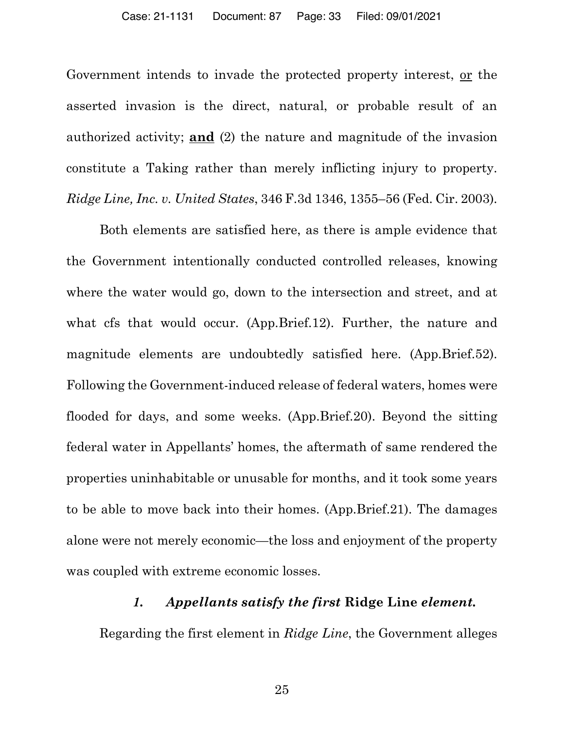Government intends to invade the protected property interest, <u>or</u> the asserted invasion is the direct, natural, or probable result of an authorized activity; **and** (2) the nature and magnitude of the invasion constitute a Taking rather than merely inflicting injury to property. *Ridge Line, Inc. v. United States*, 346 F.3d 1346, 1355–56 (Fed. Cir. 2003).

Both elements are satisfied here, as there is ample evidence that the Government intentionally conducted controlled releases, knowing where the water would go, down to the intersection and street, and at what cfs that would occur. (App.Brief.12). Further, the nature and magnitude elements are undoubtedly satisfied here. (App.Brief.52). Following the Government-induced release of federal waters, homes were flooded for days, and some weeks. (App.Brief.20). Beyond the sitting federal water in Appellants' homes, the aftermath of same rendered the properties uninhabitable or unusable for months, and it took some years to be able to move back into their homes. (App.Brief.21). The damages alone were not merely economic—the loss and enjoyment of the property was coupled with extreme economic losses.

### *1. Appellants satisfy the first* **Ridge Line** *element.*

Regarding the first element in *Ridge Line*, the Government alleges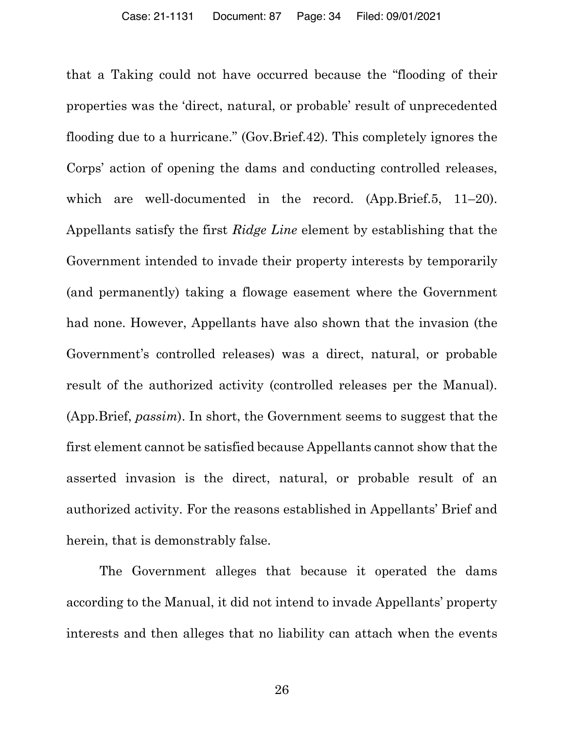that a Taking could not have occurred because the "flooding of their properties was the 'direct, natural, or probable' result of unprecedented flooding due to a hurricane." (Gov.Brief.42). This completely ignores the Corps' action of opening the dams and conducting controlled releases, which are well-documented in the record. (App.Brief.5, 11–20). Appellants satisfy the first *Ridge Line* element by establishing that the Government intended to invade their property interests by temporarily (and permanently) taking a flowage easement where the Government had none. However, Appellants have also shown that the invasion (the Government's controlled releases) was a direct, natural, or probable result of the authorized activity (controlled releases per the Manual). (App.Brief, *passim*). In short, the Government seems to suggest that the first element cannot be satisfied because Appellants cannot show that the asserted invasion is the direct, natural, or probable result of an authorized activity. For the reasons established in Appellants' Brief and herein, that is demonstrably false.

The Government alleges that because it operated the dams according to the Manual, it did not intend to invade Appellants' property interests and then alleges that no liability can attach when the events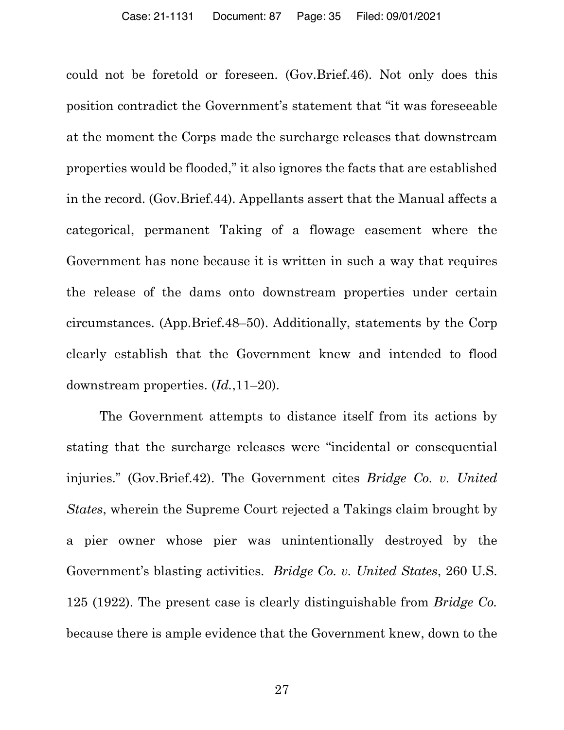could not be foretold or foreseen. (Gov.Brief.46). Not only does this position contradict the Government's statement that "it was foreseeable at the moment the Corps made the surcharge releases that downstream properties would be flooded," it also ignores the facts that are established in the record. (Gov.Brief.44). Appellants assert that the Manual affects a categorical, permanent Taking of a flowage easement where the Government has none because it is written in such a way that requires the release of the dams onto downstream properties under certain circumstances. (App.Brief.48–50). Additionally, statements by the Corp clearly establish that the Government knew and intended to flood downstream properties. (*Id.*,11–20).

The Government attempts to distance itself from its actions by stating that the surcharge releases were "incidental or consequential injuries." (Gov.Brief.42). The Government cites *Bridge Co. v. United States*, wherein the Supreme Court rejected a Takings claim brought by a pier owner whose pier was unintentionally destroyed by the Government's blasting activities. *Bridge Co. v. United States*, 260 U.S. 125 (1922). The present case is clearly distinguishable from *Bridge Co.* because there is ample evidence that the Government knew, down to the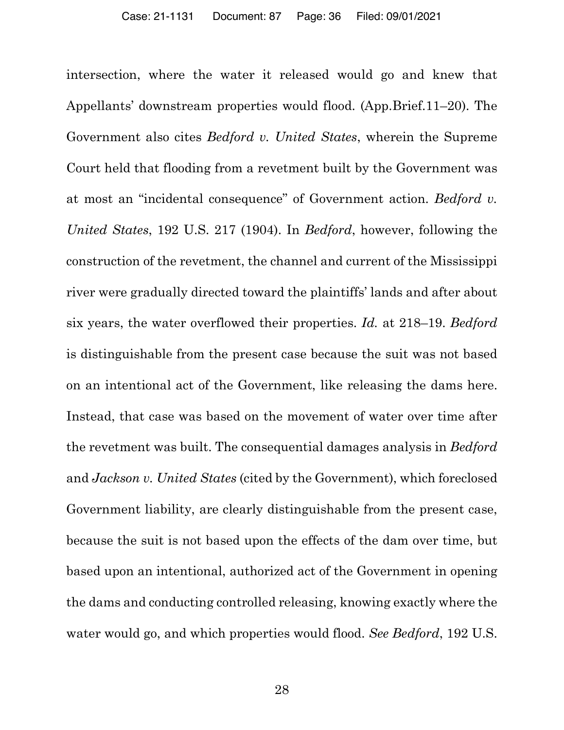intersection, where the water it released would go and knew that Appellants' downstream properties would flood. (App.Brief.11–20). The Government also cites *Bedford v. United States*, wherein the Supreme Court held that flooding from a revetment built by the Government was at most an "incidental consequence" of Government action. *Bedford v. United States*, 192 U.S. 217 (1904). In *Bedford*, however, following the construction of the revetment, the channel and current of the Mississippi river were gradually directed toward the plaintiffs' lands and after about six years, the water overflowed their properties. *Id.* at 218–19. *Bedford* is distinguishable from the present case because the suit was not based on an intentional act of the Government, like releasing the dams here. Instead, that case was based on the movement of water over time after the revetment was built. The consequential damages analysis in *Bedford* and *Jackson v. United States* (cited by the Government), which foreclosed Government liability, are clearly distinguishable from the present case, because the suit is not based upon the effects of the dam over time, but based upon an intentional, authorized act of the Government in opening the dams and conducting controlled releasing, knowing exactly where the water would go, and which properties would flood. *See Bedford*, 192 U.S.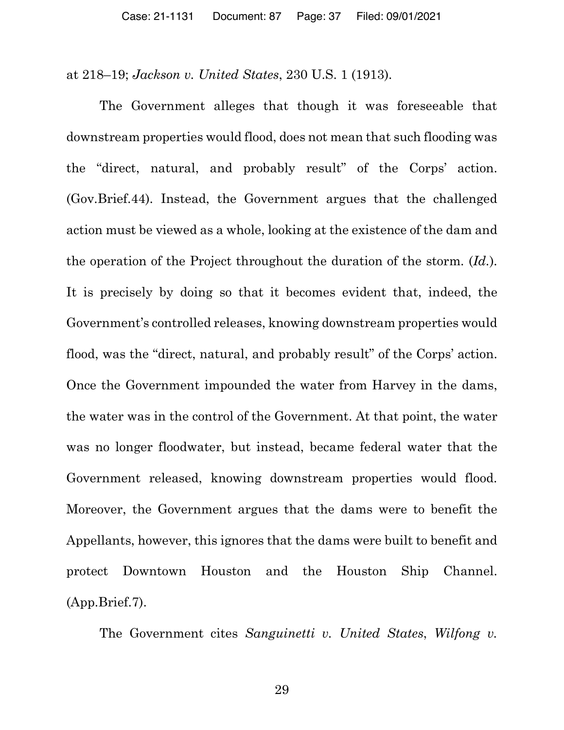at 218–19; *Jackson v. United States*, 230 U.S. 1 (1913).

The Government alleges that though it was foreseeable that downstream properties would flood, does not mean that such flooding was the "direct, natural, and probably result" of the Corps' action. (Gov.Brief.44). Instead, the Government argues that the challenged action must be viewed as a whole, looking at the existence of the dam and the operation of the Project throughout the duration of the storm. (*Id.*). It is precisely by doing so that it becomes evident that, indeed, the Government's controlled releases, knowing downstream properties would flood, was the "direct, natural, and probably result" of the Corps' action. Once the Government impounded the water from Harvey in the dams, the water was in the control of the Government. At that point, the water was no longer floodwater, but instead, became federal water that the Government released, knowing downstream properties would flood. Moreover, the Government argues that the dams were to benefit the Appellants, however, this ignores that the dams were built to benefit and protect Downtown Houston and the Houston Ship Channel. (App.Brief.7).

The Government cites *Sanguinetti v. United States*, *Wilfong v.*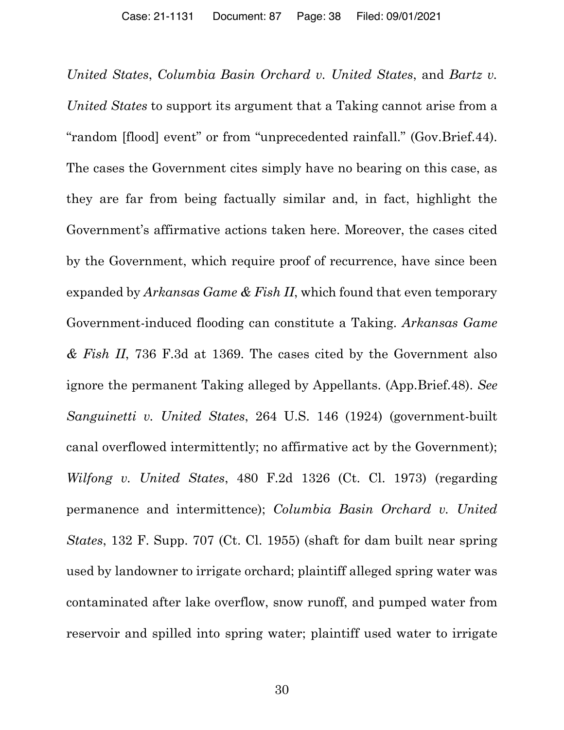*United States*, *Columbia Basin Orchard v. United States*, and *Bartz v. United States* to support its argument that a Taking cannot arise from a "random [flood] event" or from "unprecedented rainfall." (Gov.Brief.44). The cases the Government cites simply have no bearing on this case, as they are far from being factually similar and, in fact, highlight the Government's affirmative actions taken here. Moreover, the cases cited by the Government, which require proof of recurrence, have since been expanded by *Arkansas Game & Fish II*, which found that even temporary Government-induced flooding can constitute a Taking. *Arkansas Game & Fish II*, 736 F.3d at 1369. The cases cited by the Government also ignore the permanent Taking alleged by Appellants. (App.Brief.48). *See Sanguinetti v. United States*, 264 U.S. 146 (1924) (government-built canal overflowed intermittently; no affirmative act by the Government); *Wilfong v. United States*, 480 F.2d 1326 (Ct. Cl. 1973) (regarding permanence and intermittence); *Columbia Basin Orchard v. United States*, 132 F. Supp. 707 (Ct. Cl. 1955) (shaft for dam built near spring used by landowner to irrigate orchard; plaintiff alleged spring water was contaminated after lake overflow, snow runoff, and pumped water from reservoir and spilled into spring water; plaintiff used water to irrigate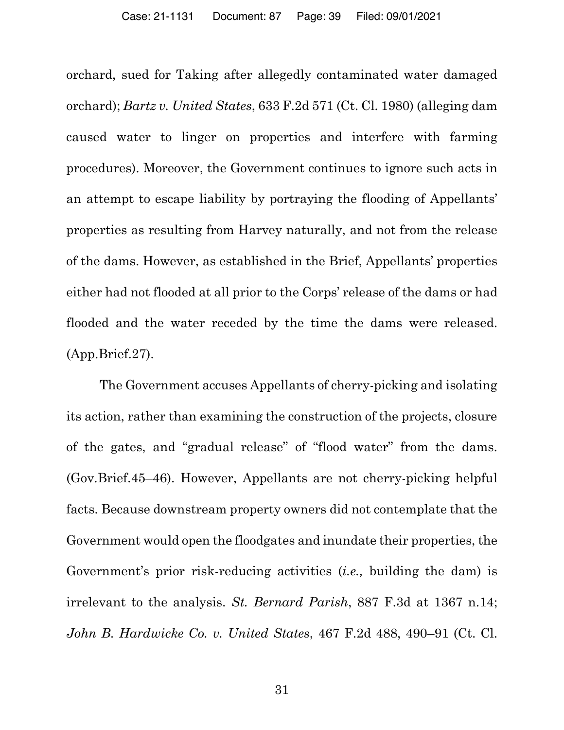orchard, sued for Taking after allegedly contaminated water damaged orchard); *Bartz v. United States*, 633 F.2d 571 (Ct. Cl. 1980) (alleging dam caused water to linger on properties and interfere with farming procedures). Moreover, the Government continues to ignore such acts in an attempt to escape liability by portraying the flooding of Appellants' properties as resulting from Harvey naturally, and not from the release of the dams. However, as established in the Brief, Appellants' properties either had not flooded at all prior to the Corps' release of the dams or had flooded and the water receded by the time the dams were released. (App.Brief.27).

The Government accuses Appellants of cherry-picking and isolating its action, rather than examining the construction of the projects, closure of the gates, and "gradual release" of "flood water" from the dams. (Gov.Brief.45–46). However, Appellants are not cherry-picking helpful facts. Because downstream property owners did not contemplate that the Government would open the floodgates and inundate their properties, the Government's prior risk-reducing activities (*i.e.,* building the dam) is irrelevant to the analysis. *St. Bernard Parish*, 887 F.3d at 1367 n.14; *John B. Hardwicke Co. v. United States*, 467 F.2d 488, 490–91 (Ct. Cl.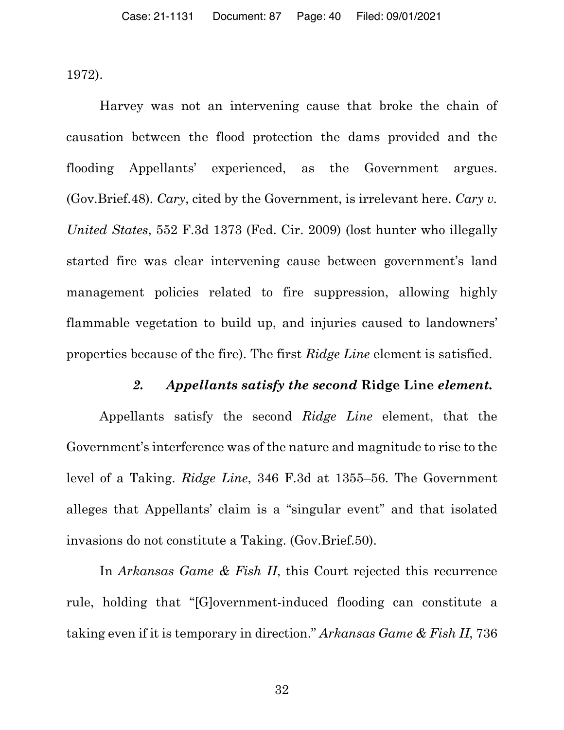1972).

Harvey was not an intervening cause that broke the chain of causation between the flood protection the dams provided and the flooding Appellants' experienced, as the Government argues. (Gov.Brief.48). *Cary*, cited by the Government, is irrelevant here. *Cary v. United States*, 552 F.3d 1373 (Fed. Cir. 2009) (lost hunter who illegally started fire was clear intervening cause between government's land management policies related to fire suppression, allowing highly flammable vegetation to build up, and injuries caused to landowners' properties because of the fire). The first *Ridge Line* element is satisfied.

#### *2. Appellants satisfy the second* **Ridge Line** *element.*

Appellants satisfy the second *Ridge Line* element, that the Government's interference was of the nature and magnitude to rise to the level of a Taking. *Ridge Line*, 346 F.3d at 1355–56. The Government alleges that Appellants' claim is a "singular event" and that isolated invasions do not constitute a Taking. (Gov.Brief.50).

In *Arkansas Game & Fish II*, this Court rejected this recurrence rule, holding that "[G]overnment-induced flooding can constitute a taking even if it is temporary in direction." *Arkansas Game & Fish II*, 736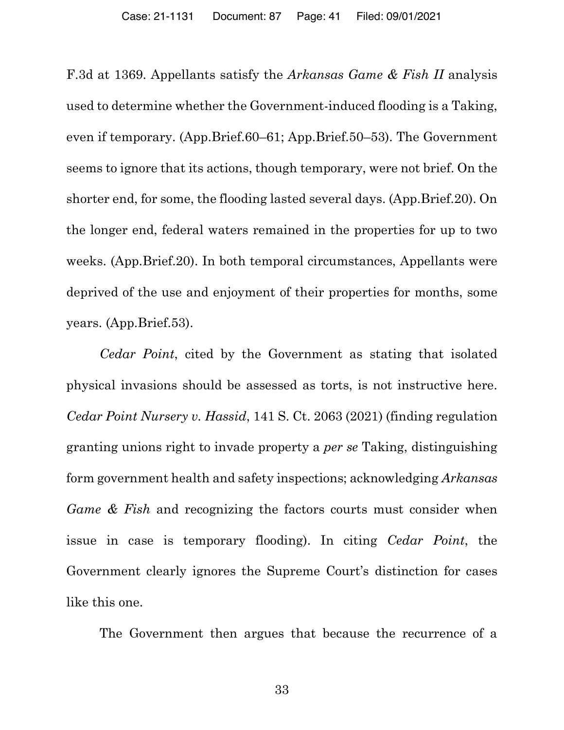F.3d at 1369. Appellants satisfy the *Arkansas Game & Fish II* analysis used to determine whether the Government-induced flooding is a Taking, even if temporary. (App.Brief.60–61; App.Brief.50–53). The Government seems to ignore that its actions, though temporary, were not brief. On the shorter end, for some, the flooding lasted several days. (App.Brief.20). On the longer end, federal waters remained in the properties for up to two weeks. (App.Brief.20). In both temporal circumstances, Appellants were deprived of the use and enjoyment of their properties for months, some years. (App.Brief.53).

*Cedar Point*, cited by the Government as stating that isolated physical invasions should be assessed as torts, is not instructive here. *Cedar Point Nursery v. Hassid*, 141 S. Ct. 2063 (2021) (finding regulation granting unions right to invade property a *per se* Taking, distinguishing form government health and safety inspections; acknowledging *Arkansas Game & Fish* and recognizing the factors courts must consider when issue in case is temporary flooding). In citing *Cedar Point*, the Government clearly ignores the Supreme Court's distinction for cases like this one.

The Government then argues that because the recurrence of a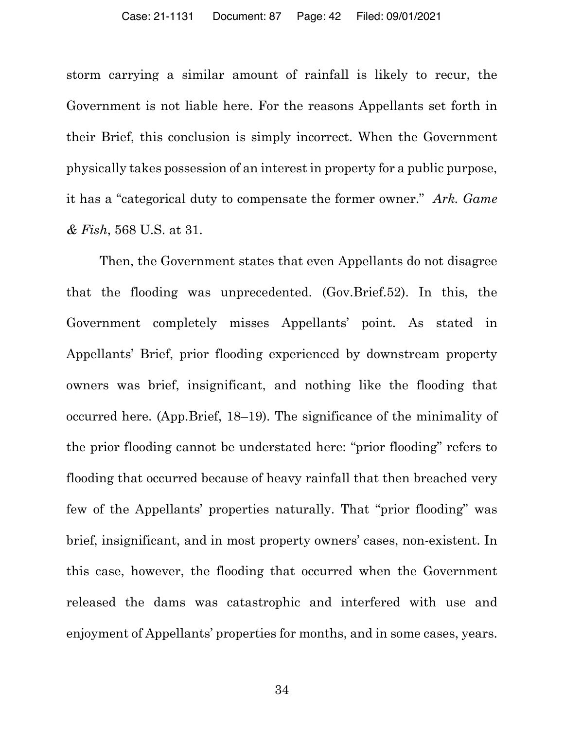storm carrying a similar amount of rainfall is likely to recur, the Government is not liable here. For the reasons Appellants set forth in their Brief, this conclusion is simply incorrect. When the Government physically takes possession of an interest in property for a public purpose, it has a "categorical duty to compensate the former owner." *Ark. Game & Fish*, 568 U.S. at 31.

Then, the Government states that even Appellants do not disagree that the flooding was unprecedented. (Gov.Brief.52). In this, the Government completely misses Appellants' point. As stated in Appellants' Brief, prior flooding experienced by downstream property owners was brief, insignificant, and nothing like the flooding that occurred here. (App.Brief, 18–19). The significance of the minimality of the prior flooding cannot be understated here: "prior flooding" refers to flooding that occurred because of heavy rainfall that then breached very few of the Appellants' properties naturally. That "prior flooding" was brief, insignificant, and in most property owners' cases, non-existent. In this case, however, the flooding that occurred when the Government released the dams was catastrophic and interfered with use and enjoyment of Appellants' properties for months, and in some cases, years.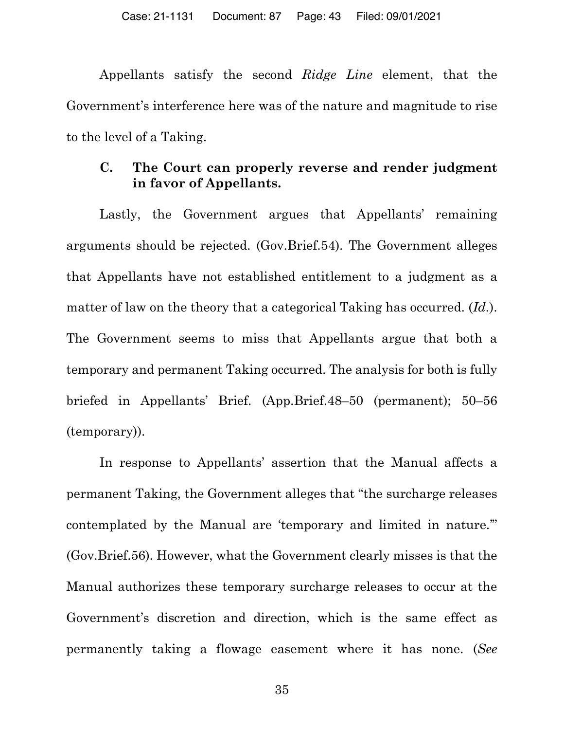Appellants satisfy the second *Ridge Line* element, that the Government's interference here was of the nature and magnitude to rise to the level of a Taking.

## **C. The Court can properly reverse and render judgment in favor of Appellants.**

Lastly, the Government argues that Appellants' remaining arguments should be rejected. (Gov.Brief.54). The Government alleges that Appellants have not established entitlement to a judgment as a matter of law on the theory that a categorical Taking has occurred. (*Id.*). The Government seems to miss that Appellants argue that both a temporary and permanent Taking occurred. The analysis for both is fully briefed in Appellants' Brief. (App.Brief.48–50 (permanent); 50–56 (temporary)).

In response to Appellants' assertion that the Manual affects a permanent Taking, the Government alleges that "the surcharge releases contemplated by the Manual are 'temporary and limited in nature.'" (Gov.Brief.56). However, what the Government clearly misses is that the Manual authorizes these temporary surcharge releases to occur at the Government's discretion and direction, which is the same effect as permanently taking a flowage easement where it has none. (*See*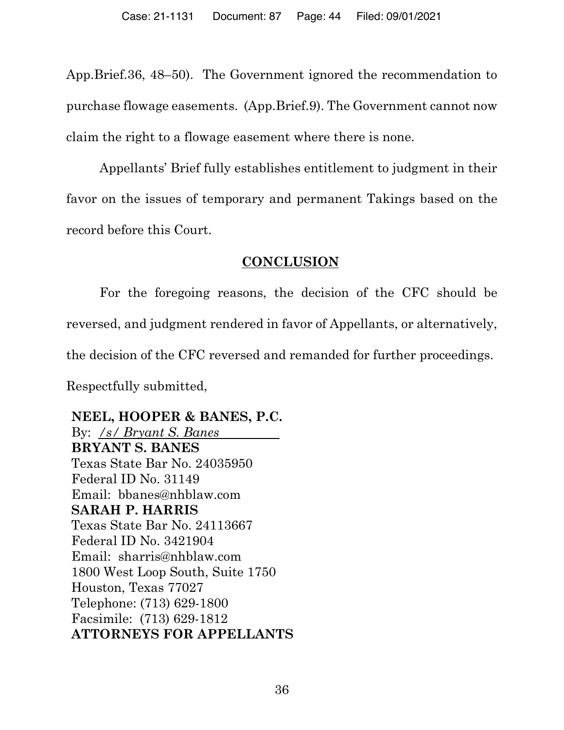App.Brief.36, 48–50). The Government ignored the recommendation to purchase flowage easements. (App.Brief.9). The Government cannot now claim the right to a flowage easement where there is none.

Appellants' Brief fully establishes entitlement to judgment in their favor on the issues of temporary and permanent Takings based on the record before this Court.

### **CONCLUSION**

For the foregoing reasons, the decision of the CFC should be reversed, and judgment rendered in favor of Appellants, or alternatively, the decision of the CFC reversed and remanded for further proceedings. Respectfully submitted,

**NEEL, HOOPER & BANES, P.C.** By: */s/ Bryant S. Banes .* **BRYANT S. BANES** Texas State Bar No. 24035950 Federal ID No. 31149 Email: bbanes@nhblaw.com **SARAH P. HARRIS** Texas State Bar No. 24113667 Federal ID No. 3421904 Email: sharris@nhblaw.com 1800 West Loop South, Suite 1750 Houston, Texas 77027 Telephone: (713) 629-1800 Facsimile: (713) 629-1812 **ATTORNEYS FOR APPELLANTS**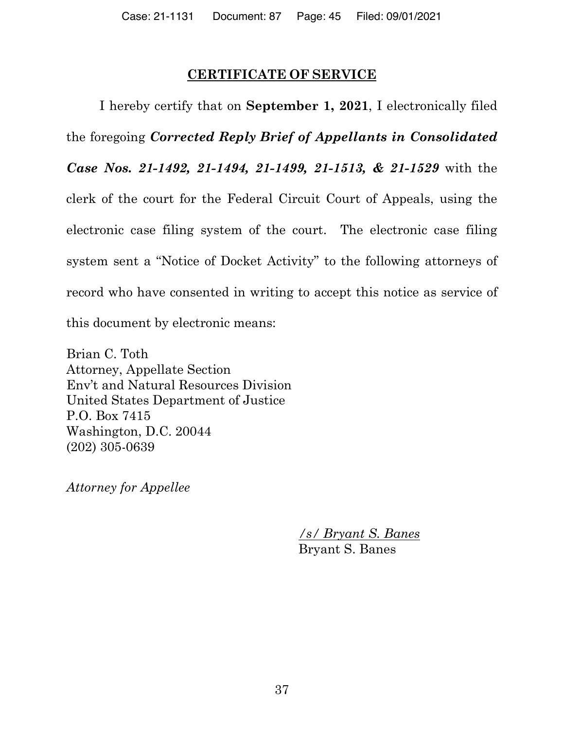## **CERTIFICATE OF SERVICE**

I hereby certify that on **September 1, 2021**, I electronically filed the foregoing *Corrected Reply Brief of Appellants in Consolidated Case Nos. 21-1492, 21-1494, 21-1499, 21-1513, & 21-1529* with the clerk of the court for the Federal Circuit Court of Appeals, using the electronic case filing system of the court. The electronic case filing system sent a "Notice of Docket Activity" to the following attorneys of record who have consented in writing to accept this notice as service of this document by electronic means:

Brian C. Toth Attorney, Appellate Section Env't and Natural Resources Division United States Department of Justice P.O. Box 7415 Washington, D.C. 20044 (202) 305-0639

*Attorney for Appellee*

*/s/ Bryant S. Banes* Bryant S. Banes